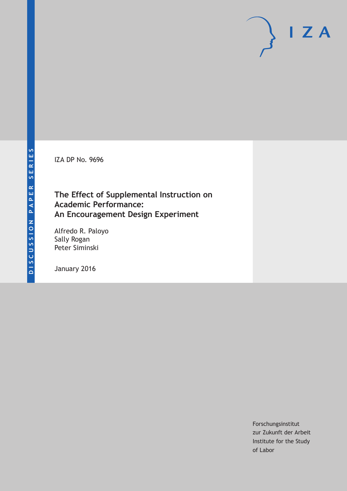IZA DP No. 9696

# **The Effect of Supplemental Instruction on Academic Performance: An Encouragement Design Experiment**

Alfredo R. Paloyo Sally Rogan Peter Siminski

January 2016

Forschungsinstitut zur Zukunft der Arbeit Institute for the Study of Labor

 $I Z A$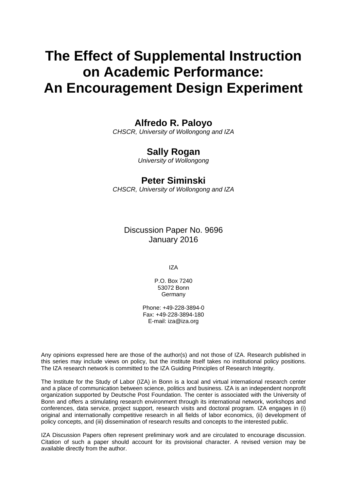# **The Effect of Supplemental Instruction on Academic Performance: An Encouragement Design Experiment**

# **Alfredo R. Paloyo**

*CHSCR, University of Wollongong and IZA* 

# **Sally Rogan**

*University of Wollongong* 

# **Peter Siminski**

*CHSCR, University of Wollongong and IZA*

Discussion Paper No. 9696 January 2016

IZA

P.O. Box 7240 53072 Bonn Germany

Phone: +49-228-3894-0 Fax: +49-228-3894-180 E-mail: iza@iza.org

Any opinions expressed here are those of the author(s) and not those of IZA. Research published in this series may include views on policy, but the institute itself takes no institutional policy positions. The IZA research network is committed to the IZA Guiding Principles of Research Integrity.

The Institute for the Study of Labor (IZA) in Bonn is a local and virtual international research center and a place of communication between science, politics and business. IZA is an independent nonprofit organization supported by Deutsche Post Foundation. The center is associated with the University of Bonn and offers a stimulating research environment through its international network, workshops and conferences, data service, project support, research visits and doctoral program. IZA engages in (i) original and internationally competitive research in all fields of labor economics, (ii) development of policy concepts, and (iii) dissemination of research results and concepts to the interested public.

IZA Discussion Papers often represent preliminary work and are circulated to encourage discussion. Citation of such a paper should account for its provisional character. A revised version may be available directly from the author.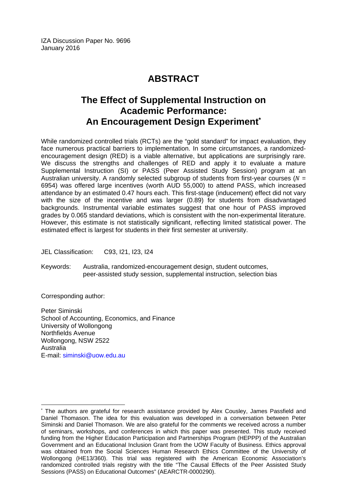IZA Discussion Paper No. 9696 January 2016

# **ABSTRACT**

# **The Effect of Supplemental Instruction on Academic Performance: An Encouragement Design Experiment\***

While randomized controlled trials (RCTs) are the "gold standard" for impact evaluation, they face numerous practical barriers to implementation. In some circumstances, a randomizedencouragement design (RED) is a viable alternative, but applications are surprisingly rare. We discuss the strengths and challenges of RED and apply it to evaluate a mature Supplemental Instruction (SI) or PASS (Peer Assisted Study Session) program at an Australian university. A randomly selected subgroup of students from first-year courses ( $N =$ 6954) was offered large incentives (worth AUD 55,000) to attend PASS, which increased attendance by an estimated 0.47 hours each. This first-stage (inducement) effect did not vary with the size of the incentive and was larger (0.89) for students from disadvantaged backgrounds. Instrumental variable estimates suggest that one hour of PASS improved grades by 0.065 standard deviations, which is consistent with the non-experimental literature. However, this estimate is not statistically significant, reflecting limited statistical power. The estimated effect is largest for students in their first semester at university.

JEL Classification: C93, I21, I23, I24

Keywords: Australia, randomized-encouragement design, student outcomes, peer-assisted study session, supplemental instruction, selection bias

Corresponding author:

Peter Siminski School of Accounting, Economics, and Finance University of Wollongong Northfields Avenue Wollongong, NSW 2522 Australia E-mail: siminski@uow.edu.au

 $\overline{a}$ \* The authors are grateful for research assistance provided by Alex Cousley, James Passfield and Daniel Thomason. The idea for this evaluation was developed in a conversation between Peter Siminski and Daniel Thomason. We are also grateful for the comments we received across a number of seminars, workshops, and conferences in which this paper was presented. This study received funding from the Higher Education Participation and Partnerships Program (HEPPP) of the Australian Government and an Educational Inclusion Grant from the UOW Faculty of Business. Ethics approval was obtained from the Social Sciences Human Research Ethics Committee of the University of Wollongong (HE13/360). This trial was registered with the American Economic Association's randomized controlled trials registry with the title "The Causal Effects of the Peer Assisted Study Sessions (PASS) on Educational Outcomes" (AEARCTR-0000290).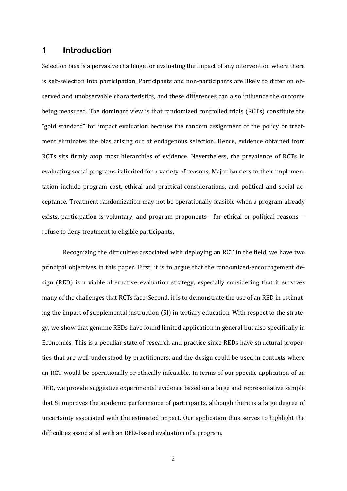### **1 Introduction**

Selection bias is a pervasive challenge for evaluating the impact of any intervention where there is self-selection into participation. Participants and non-participants are likely to differ on observed and unobservable characteristics, and these differences can also influence the outcome being measured. The dominant view is that randomized controlled trials (RCTs) constitute the "gold standard" for impact evaluation because the random assignment of the policy or treatment eliminates the bias arising out of endogenous selection. Hence, evidence obtained from RCTs sits firmly atop most hierarchies of evidence. Nevertheless, the prevalence of RCTs in evaluating social programs is limited for a variety of reasons. Major barriers to their implementation include program cost, ethical and practical considerations, and political and social acceptance. Treatment randomization may not be operationally feasible when a program already exists, participation is voluntary, and program proponents—for ethical or political reasons refuse to deny treatment to eligible participants.

Recognizing the difficulties associated with deploying an RCT in the field, we have two principal objectives in this paper. First, it is to argue that the randomized-encouragement design (RED) is a viable alternative evaluation strategy, especially considering that it survives many of the challenges that RCTs face. Second, it is to demonstrate the use of an RED in estimating the impact of supplemental instruction (SI) in tertiary education. With respect to the strategy, we show that genuine REDs have found limited application in general but also specifically in Economics. This is a peculiar state of research and practice since REDs have structural properties that are well-understood by practitioners, and the design could be used in contexts where an RCT would be operationally or ethically infeasible. In terms of our specific application of an RED, we provide suggestive experimental evidence based on a large and representative sample that SI improves the academic performance of participants, although there is a large degree of uncertainty associated with the estimated impact. Our application thus serves to highlight the difficulties associated with an RED-based evaluation of a program.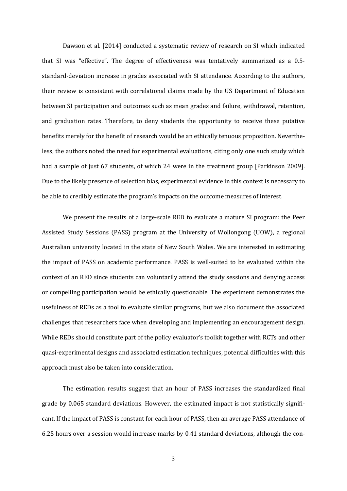Dawson et al. [2014] conducted a systematic review of research on SI which indicated that SI was "effective". The degree of effectiveness was tentatively summarized as a 0.5 standard-deviation increase in grades associated with SI attendance. According to the authors, their review is consistent with correlational claims made by the US Department of Education between SI participation and outcomes such as mean grades and failure, withdrawal, retention, and graduation rates. Therefore, to deny students the opportunity to receive these putative benefits merely for the benefit of research would be an ethically tenuous proposition. Nevertheless, the authors noted the need for experimental evaluations, citing only one such study which had a sample of just 67 students, of which 24 were in the treatment group [Parkinson 2009]. Due to the likely presence of selection bias, experimental evidence in this context is necessary to be able to credibly estimate the program's impacts on the outcome measures of interest.

We present the results of a large-scale RED to evaluate a mature SI program: the Peer Assisted Study Sessions (PASS) program at the University of Wollongong (UOW), a regional Australian university located in the state of New South Wales. We are interested in estimating the impact of PASS on academic performance. PASS is well-suited to be evaluated within the context of an RED since students can voluntarily attend the study sessions and denying access or compelling participation would be ethically questionable. The experiment demonstrates the usefulness of REDs as a tool to evaluate similar programs, but we also document the associated challenges that researchers face when developing and implementing an encouragement design. While REDs should constitute part of the policy evaluator's toolkit together with RCTs and other quasi-experimental designs and associated estimation techniques, potential difficulties with this approach must also be taken into consideration.

The estimation results suggest that an hour of PASS increases the standardized final grade by 0.065 standard deviations. However, the estimated impact is not statistically significant. If the impact of PASS is constant for each hour of PASS, then an average PASS attendance of 6.25 hours over a session would increase marks by 0.41 standard deviations, although the con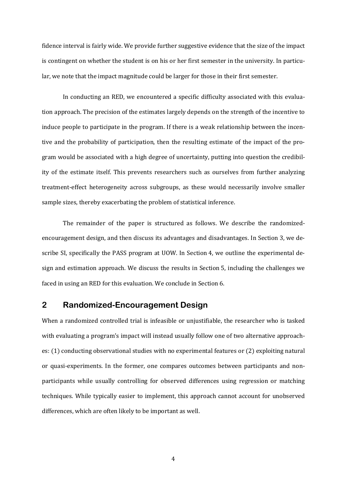fidence interval is fairly wide. We provide further suggestive evidence that the size of the impact is contingent on whether the student is on his or her first semester in the university. In particular, we note that the impact magnitude could be larger for those in their first semester.

In conducting an RED, we encountered a specific difficulty associated with this evaluation approach. The precision of the estimates largely depends on the strength of the incentive to induce people to participate in the program. If there is a weak relationship between the incentive and the probability of participation, then the resulting estimate of the impact of the program would be associated with a high degree of uncertainty, putting into question the credibility of the estimate itself. This prevents researchers such as ourselves from further analyzing treatment-effect heterogeneity across subgroups, as these would necessarily involve smaller sample sizes, thereby exacerbating the problem of statistical inference.

The remainder of the paper is structured as follows. We describe the randomizedencouragement design, and then discuss its advantages and disadvantages. In Section 3, we describe SI, specifically the PASS program at UOW. In Section 4, we outline the experimental design and estimation approach. We discuss the results in Section 5, including the challenges we faced in using an RED for this evaluation. We conclude in Section 6.

## **2 Randomized-Encouragement Design**

When a randomized controlled trial is infeasible or unjustifiable, the researcher who is tasked with evaluating a program's impact will instead usually follow one of two alternative approaches: (1) conducting observational studies with no experimental features or (2) exploiting natural or quasi-experiments. In the former, one compares outcomes between participants and nonparticipants while usually controlling for observed differences using regression or matching techniques. While typically easier to implement, this approach cannot account for unobserved differences, which are often likely to be important as well.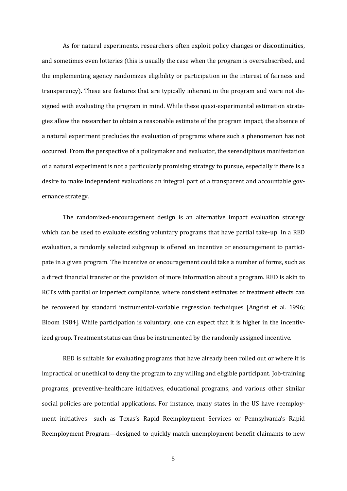As for natural experiments, researchers often exploit policy changes or discontinuities, and sometimes even lotteries (this is usually the case when the program is oversubscribed, and the implementing agency randomizes eligibility or participation in the interest of fairness and transparency). These are features that are typically inherent in the program and were not designed with evaluating the program in mind. While these quasi-experimental estimation strategies allow the researcher to obtain a reasonable estimate of the program impact, the absence of a natural experiment precludes the evaluation of programs where such a phenomenon has not occurred. From the perspective of a policymaker and evaluator, the serendipitous manifestation of a natural experiment is not a particularly promising strategy to pursue, especially if there is a desire to make independent evaluations an integral part of a transparent and accountable governance strategy.

The randomized-encouragement design is an alternative impact evaluation strategy which can be used to evaluate existing voluntary programs that have partial take-up. In a RED evaluation, a randomly selected subgroup is offered an incentive or encouragement to participate in a given program. The incentive or encouragement could take a number of forms, such as a direct financial transfer or the provision of more information about a program. RED is akin to RCTs with partial or imperfect compliance, where consistent estimates of treatment effects can be recovered by standard instrumental-variable regression techniques [Angrist et al. 1996; Bloom 1984]. While participation is voluntary, one can expect that it is higher in the incentivized group. Treatment status can thus be instrumented by the randomly assigned incentive.

RED is suitable for evaluating programs that have already been rolled out or where it is impractical or unethical to deny the program to any willing and eligible participant. Job-training programs, preventive-healthcare initiatives, educational programs, and various other similar social policies are potential applications. For instance, many states in the US have reemployment initiatives—such as Texas's Rapid Reemployment Services or Pennsylvania's Rapid Reemployment Program—designed to quickly match unemployment-benefit claimants to new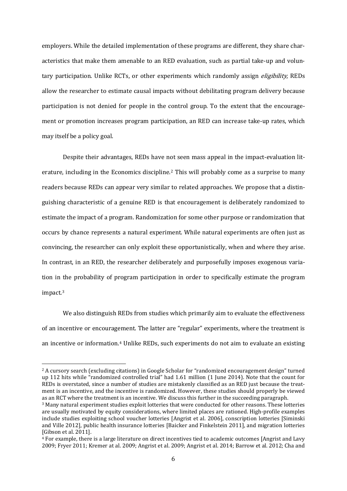employers. While the detailed implementation of these programs are different, they share characteristics that make them amenable to an RED evaluation, such as partial take-up and voluntary participation. Unlike RCTs, or other experiments which randomly assign *eligibility*, REDs allow the researcher to estimate causal impacts without debilitating program delivery because participation is not denied for people in the control group. To the extent that the encouragement or promotion increases program participation, an RED can increase take-up rates, which may itself be a policy goal.

Despite their advantages, REDs have not seen mass appeal in the impact-evaluation literature, including in the Economics discipline.2 This will probably come as a surprise to many readers because REDs can appear very similar to related approaches. We propose that a distinguishing characteristic of a genuine RED is that encouragement is deliberately randomized to estimate the impact of a program. Randomization for some other purpose or randomization that occurs by chance represents a natural experiment. While natural experiments are often just as convincing, the researcher can only exploit these opportunistically, when and where they arise. In contrast, in an RED, the researcher deliberately and purposefully imposes exogenous variation in the probability of program participation in order to specifically estimate the program impact.[3](#page-7-0)

We also distinguish REDs from studies which primarily aim to evaluate the effectiveness of an incentive or encouragement. The latter are "regular" experiments, where the treatment is an incentive or information.[4](#page-7-1) Unlike REDs, such experiments do not aim to evaluate an existing

<sup>&</sup>lt;sup>2</sup> A cursory search (excluding citations) in Google Scholar for "randomized encouragement design" turned up 112 hits while "randomized controlled trial" had 1.61 million (1 June 2014). Note that the count for REDs is overstated, since a number of studies are mistakenly classified as an RED just because the treatment is an incentive, and the incentive is randomized. However, these studies should properly be viewed as an RCT where the treatment is an incentive. We discuss this further in the succeeding paragraph.

<span id="page-7-0"></span><sup>3</sup> Many natural experiment studies exploit lotteries that were conducted for other reasons. These lotteries are usually motivated by equity considerations, where limited places are rationed. High-profile examples include studies exploiting school voucher lotteries [Angrist et al. 2006], conscription lotteries [Siminski and Ville 2012], public health insurance lotteries [Baicker and Finkelstein 2011], and migration lotteries [Gibson et al. 2011].

<span id="page-7-1"></span><sup>4</sup> For example, there is a large literature on direct incentives tied to academic outcomes [Angrist and Lavy 2009; Fryer 2011; Kremer at al. 2009; Angrist et al. 2009; Angrist et al. 2014; Barrow et al. 2012; Cha and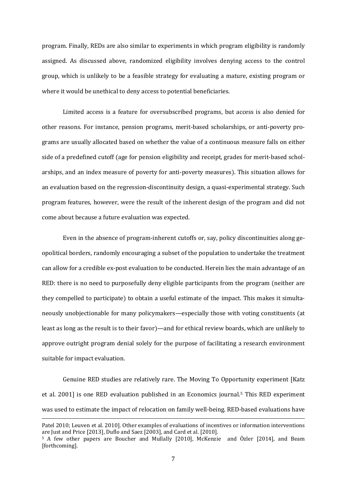program. Finally, REDs are also similar to experiments in which program eligibility is randomly assigned. As discussed above, randomized eligibility involves denying access to the control group, which is unlikely to be a feasible strategy for evaluating a mature, existing program or where it would be unethical to deny access to potential beneficiaries.

Limited access is a feature for oversubscribed programs, but access is also denied for other reasons. For instance, pension programs, merit-based scholarships, or anti-poverty programs are usually allocated based on whether the value of a continuous measure falls on either side of a predefined cutoff (age for pension eligibility and receipt, grades for merit-based scholarships, and an index measure of poverty for anti-poverty measures). This situation allows for an evaluation based on the regression-discontinuity design, a quasi-experimental strategy. Such program features, however, were the result of the inherent design of the program and did not come about because a future evaluation was expected.

Even in the absence of program-inherent cutoffs or, say, policy discontinuities along geopolitical borders, randomly encouraging a subset of the population to undertake the treatment can allow for a credible ex-post evaluation to be conducted. Herein lies the main advantage of an RED: there is no need to purposefully deny eligible participants from the program (neither are they compelled to participate) to obtain a useful estimate of the impact. This makes it simultaneously unobjectionable for many policymakers—especially those with voting constituents (at least as long as the result is to their favor)—and for ethical review boards, which are unlikely to approve outright program denial solely for the purpose of facilitating a research environment suitable for impact evaluation.

Genuine RED studies are relatively rare. The Moving To Opportunity experiment [Katz et al. 2001] is one RED evaluation published in an Economics journal.[5](#page-7-1) This RED experiment was used to estimate the impact of relocation on family well-being. RED-based evaluations have

<span id="page-8-0"></span>Patel 2010; Leuven et al. 2010]. Other examples of evaluations of incentives or information interventions are Just and Price [2013], Duflo and Saez [2003], and Card et al. [2010].

<sup>5</sup> A few other papers are Boucher and Mullally [2010], McKenzie and Özler [2014], and Beam [forthcoming].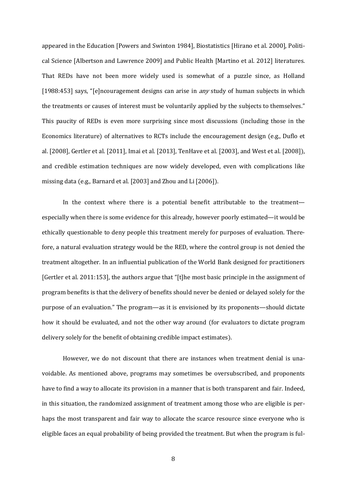appeared in the Education [Powers and Swinton 1984], Biostatistics [Hirano et al. 2000], Political Science [Albertson and Lawrence 2009] and Public Health [Martino et al. 2012] literatures. That REDs have not been more widely used is somewhat of a puzzle since, as Holland [1988:453] says, "[e]ncouragement designs can arise in *any* study of human subjects in which the treatments or causes of interest must be voluntarily applied by the subjects to themselves." This paucity of REDs is even more surprising since most discussions (including those in the Economics literature) of alternatives to RCTs include the encouragement design (e.g., Duflo et al. [2008], Gertler et al. [2011], Imai et al. [2013], TenHave et al. [2003], and West et al. [2008]), and credible estimation techniques are now widely developed, even with complications like missing data (e.g., Barnard et al. [2003] and Zhou and Li [2006]).

In the context where there is a potential benefit attributable to the treatment especially when there is some evidence for this already, however poorly estimated—it would be ethically questionable to deny people this treatment merely for purposes of evaluation. Therefore, a natural evaluation strategy would be the RED, where the control group is not denied the treatment altogether. In an influential publication of the World Bank designed for practitioners [Gertler et al. 2011:153], the authors argue that "[t]he most basic principle in the assignment of program benefits is that the delivery of benefits should never be denied or delayed solely for the purpose of an evaluation." The program—as it is envisioned by its proponents—should dictate how it should be evaluated, and not the other way around (for evaluators to dictate program delivery solely for the benefit of obtaining credible impact estimates).

However, we do not discount that there are instances when treatment denial is unavoidable. As mentioned above, programs may sometimes be oversubscribed, and proponents have to find a way to allocate its provision in a manner that is both transparent and fair. Indeed, in this situation, the randomized assignment of treatment among those who are eligible is perhaps the most transparent and fair way to allocate the scarce resource since everyone who is eligible faces an equal probability of being provided the treatment. But when the program is ful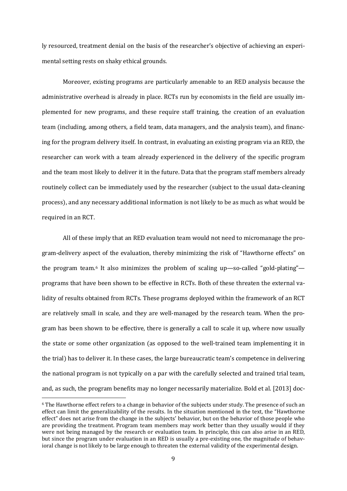ly resourced, treatment denial on the basis of the researcher's objective of achieving an experimental setting rests on shaky ethical grounds.

Moreover, existing programs are particularly amenable to an RED analysis because the administrative overhead is already in place. RCTs run by economists in the field are usually implemented for new programs, and these require staff training, the creation of an evaluation team (including, among others, a field team, data managers, and the analysis team), and financing for the program delivery itself. In contrast, in evaluating an existing program via an RED, the researcher can work with a team already experienced in the delivery of the specific program and the team most likely to deliver it in the future. Data that the program staff members already routinely collect can be immediately used by the researcher (subject to the usual data-cleaning process), and any necessary additional information is not likely to be as much as what would be required in an RCT.

All of these imply that an RED evaluation team would not need to micromanage the program-delivery aspect of the evaluation, thereby minimizing the risk of "Hawthorne effects" on the program team.[6](#page-8-0) It also minimizes the problem of scaling up—so-called "gold-plating" programs that have been shown to be effective in RCTs. Both of these threaten the external validity of results obtained from RCTs. These programs deployed within the framework of an RCT are relatively small in scale, and they are well-managed by the research team. When the program has been shown to be effective, there is generally a call to scale it up, where now usually the state or some other organization (as opposed to the well-trained team implementing it in the trial) has to deliver it. In these cases, the large bureaucratic team's competence in delivering the national program is not typically on a par with the carefully selected and trained trial team, and, as such, the program benefits may no longer necessarily materialize. Bold et al. [2013] doc-

<span id="page-10-0"></span><sup>6</sup> The Hawthorne effect refers to a change in behavior of the subjects under study. The presence of such an effect can limit the generalizability of the results. In the situation mentioned in the text, the "Hawthorne effect" does not arise from the change in the subjects' behavior, but on the behavior of those people who are providing the treatment. Program team members may work better than they usually would if they were not being managed by the research or evaluation team. In principle, this can also arise in an RED, but since the program under evaluation in an RED is usually a pre-existing one, the magnitude of behavioral change is not likely to be large enough to threaten the external validity of the experimental design.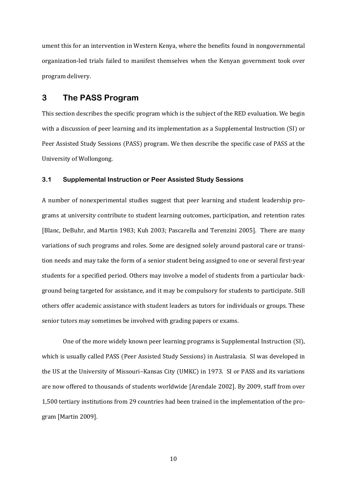ument this for an intervention in Western Kenya, where the benefits found in nongovernmental organization-led trials failed to manifest themselves when the Kenyan government took over program delivery.

## **3 The PASS Program**

This section describes the specific program which is the subject of the RED evaluation. We begin with a discussion of peer learning and its implementation as a Supplemental Instruction (SI) or Peer Assisted Study Sessions (PASS) program. We then describe the specific case of PASS at the University of Wollongong.

#### **3.1 Supplemental Instruction or Peer Assisted Study Sessions**

A number of nonexperimental studies suggest that peer learning and student leadership programs at university contribute to student learning outcomes, participation, and retention rates [Blanc, DeBuhr, and Martin 1983; Kuh 2003; Pascarella and Terenzini 2005]. There are many variations of such programs and roles. Some are designed solely around pastoral care or transition needs and may take the form of a senior student being assigned to one or several first-year students for a specified period. Others may involve a model of students from a particular background being targeted for assistance, and it may be compulsory for students to participate. Still others offer academic assistance with student leaders as tutors for individuals or groups. These senior tutors may sometimes be involved with grading papers or exams.

One of the more widely known peer learning programs is Supplemental Instruction (SI), which is usually called PASS (Peer Assisted Study Sessions) in Australasia. SI was developed in the US at the University of Missouri–Kansas City (UMKC) in 1973. SI or PASS and its variations are now offered to thousands of students worldwide [Arendale 2002]. By 2009, staff from over 1,500 tertiary institutions from 29 countries had been trained in the implementation of the program [Martin 2009].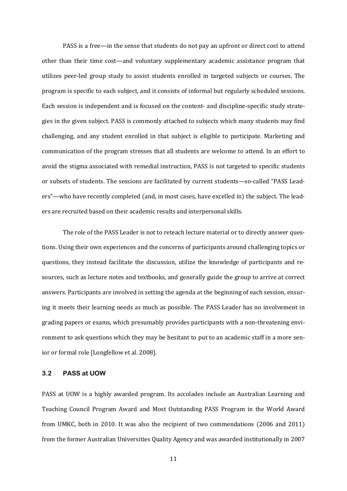PASS is a free—in the sense that students do not pay an upfront or direct cost to attend other than their time cost—and voluntary supplementary academic assistance program that utilizes peer-led group study to assist students enrolled in targeted subjects or courses. The program is specific to each subject, and it consists of informal but regularly scheduled sessions. Each session is independent and is focused on the content- and discipline-specific study strategies in the given subject. PASS is commonly attached to subjects which many students may find challenging, and any student enrolled in that subject is eligible to participate. Marketing and communication of the program stresses that all students are welcome to attend. In an effort to avoid the stigma associated with remedial instruction, PASS is not targeted to specific students or subsets of students. The sessions are facilitated by current students—so-called "PASS Leaders"—who have recently completed (and, in most cases, have excelled in) the subject. The leaders are recruited based on their academic results and interpersonal skills.

The role of the PASS Leader is not to reteach lecture material or to directly answer questions. Using their own experiences and the concerns of participants around challenging topics or questions, they instead facilitate the discussion, utilize the knowledge of participants and resources, such as lecture notes and textbooks, and generally guide the group to arrive at correct answers. Participants are involved in setting the agenda at the beginning of each session, ensuring it meets their learning needs as much as possible. The PASS Leader has no involvement in grading papers or exams, which presumably provides participants with a non-threatening environment to ask questions which they may be hesitant to put to an academic staff in a more senior or formal role [Longfellow et al. 2008].

#### **3.2 PASS at UOW**

PASS at UOW is a highly awarded program. Its accolades include an Australian Learning and Teaching Council Program Award and Most Outstanding PASS Program in the World Award from UMKC, both in 2010. It was also the recipient of two commendations (2006 and 2011) from the former Australian Universities Quality Agency and was awarded institutionally in 2007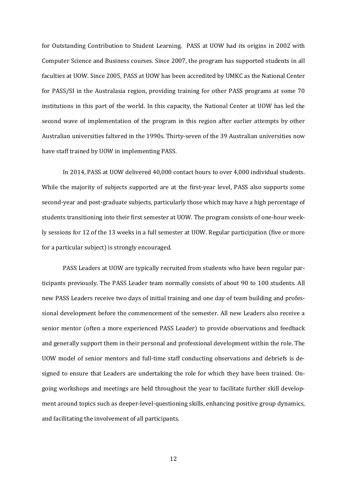for Outstanding Contribution to Student Learning. PASS at UOW had its origins in 2002 with Computer Science and Business courses. Since 2007, the program has supported students in all faculties at UOW. Since 2005, PASS at UOW has been accredited by UMKC as the National Center for PASS/SI in the Australasia region, providing training for other PASS programs at some 70 institutions in this part of the world. In this capacity, the National Center at UOW has led the second wave of implementation of the program in this region after earlier attempts by other Australian universities faltered in the 1990s. Thirty-seven of the 39 Australian universities now have staff trained by UOW in implementing PASS.

In 2014, PASS at UOW delivered 40,000 contact hours to over 4,000 individual students. While the majority of subjects supported are at the first-year level, PASS also supports some second-year and post-graduate subjects, particularly those which may have a high percentage of students transitioning into their first semester at UOW. The program consists of one-hour weekly sessions for 12 of the 13 weeks in a full semester at UOW. Regular participation (five or more for a particular subject) is strongly encouraged.

PASS Leaders at UOW are typically recruited from students who have been regular participants previously. The PASS Leader team normally consists of about 90 to 100 students. All new PASS Leaders receive two days of initial training and one day of team building and professional development before the commencement of the semester. All new Leaders also receive a senior mentor (often a more experienced PASS Leader) to provide observations and feedback and generally support them in their personal and professional development within the role. The UOW model of senior mentors and full-time staff conducting observations and debriefs is designed to ensure that Leaders are undertaking the role for which they have been trained. Ongoing workshops and meetings are held throughout the year to facilitate further skill development around topics such as deeper-level-questioning skills, enhancing positive group dynamics, and facilitating the involvement of all participants.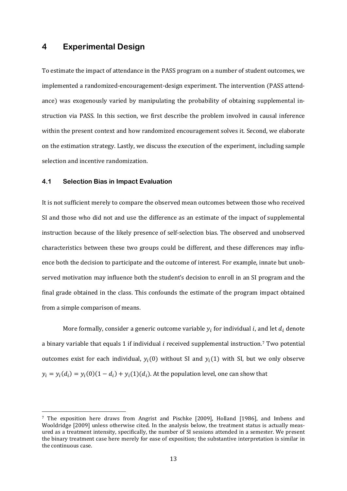## **4 Experimental Design**

To estimate the impact of attendance in the PASS program on a number of student outcomes, we implemented a randomized-encouragement-design experiment. The intervention (PASS attendance) was exogenously varied by manipulating the probability of obtaining supplemental instruction via PASS. In this section, we first describe the problem involved in causal inference within the present context and how randomized encouragement solves it. Second, we elaborate on the estimation strategy. Lastly, we discuss the execution of the experiment, including sample selection and incentive randomization.

#### **4.1 Selection Bias in Impact Evaluation**

**.** 

It is not sufficient merely to compare the observed mean outcomes between those who received SI and those who did not and use the difference as an estimate of the impact of supplemental instruction because of the likely presence of self-selection bias. The observed and unobserved characteristics between these two groups could be different, and these differences may influence both the decision to participate and the outcome of interest. For example, innate but unobserved motivation may influence both the student's decision to enroll in an SI program and the final grade obtained in the class. This confounds the estimate of the program impact obtained from a simple comparison of means.

More formally, consider a generic outcome variable  $y_i$  for individual *i*, and let  $d_i$  denote a binary variable that equals 1 if individual  $i$  received supplemental instruction.<sup>[7](#page-10-0)</sup> Two potential outcomes exist for each individual,  $y_i(0)$  without SI and  $y_i(1)$  with SI, but we only observe  $y_i = y_i(d_i) = y_i(0)(1 - d_i) + y_i(1)(d_i)$ . At the population level, one can show that

<span id="page-14-0"></span><sup>7</sup> The exposition here draws from Angrist and Pischke [2009], Holland [1986], and Imbens and Wooldridge [2009] unless otherwise cited. In the analysis below, the treatment status is actually measured as a treatment intensity, specifically, the number of SI sessions attended in a semester. We present the binary treatment case here merely for ease of exposition; the substantive interpretation is similar in the continuous case.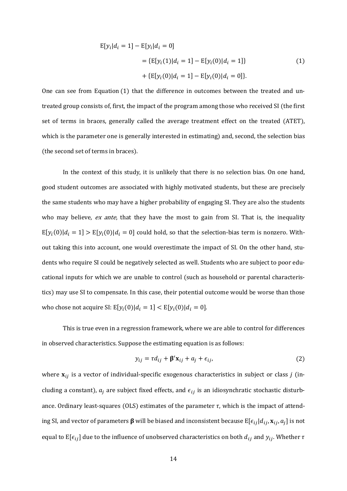$$
E[y_i|d_i = 1] - E[y_i|d_i = 0]
$$
  
= {E[y\_i(1)|d\_i = 1] - E[y\_i(0)|d\_i = 1]}  
+ {E[y\_i(0)|d\_i = 1] - E[y\_i(0)|d\_i = 0]}. (1)

One can see from Equation (1) that the difference in outcomes between the treated and untreated group consists of, first, the impact of the program among those who received SI (the first set of terms in braces, generally called the average treatment effect on the treated (ATET), which is the parameter one is generally interested in estimating) and, second, the selection bias (the second set of terms in braces).

In the context of this study, it is unlikely that there is no selection bias. On one hand, good student outcomes are associated with highly motivated students, but these are precisely the same students who may have a higher probability of engaging SI. They are also the students who may believe, ex ante, that they have the most to gain from SI. That is, the inequality  $E[y_i(0)|d_i = 1] > E[y_i(0)|d_i = 0]$  could hold, so that the selection-bias term is nonzero. Without taking this into account, one would overestimate the impact of SI. On the other hand, students who require SI could be negatively selected as well. Students who are subject to poor educational inputs for which we are unable to control (such as household or parental characteristics) may use SI to compensate. In this case, their potential outcome would be worse than those who chose not acquire SI:  $E[y_i(0)|d_i = 1] < E[y_i(0)|d_i = 0]$ .

This is true even in a regression framework, where we are able to control for differences in observed characteristics. Suppose the estimating equation is as follows:

$$
y_{ij} = \tau d_{ij} + \beta' \mathbf{x}_{ij} + a_j + \epsilon_{ij},
$$
 (2)

where  $x_{ij}$  is a vector of individual-specific exogenous characteristics in subject or class *j* (including a constant),  $a_j$  are subject fixed effects, and  $\epsilon_{ij}$  is an idiosynchratic stochastic disturbance. Ordinary least-squares (OLS) estimates of the parameter  $\tau$ , which is the impact of attending SI, and vector of parameters  $\beta$  will be biased and inconsistent because  $E[\epsilon_{ij} | d_{ij}, x_{ij}, a_j]$  is not equal to E[ $\epsilon_{ij}$ ] due to the influence of unobserved characteristics on both  $d_{ij}$  and  $y_{ij}$ . Whether  $\tau$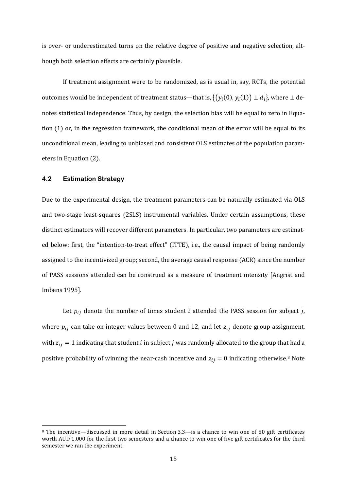is over- or underestimated turns on the relative degree of positive and negative selection, although both selection effects are certainly plausible.

If treatment assignment were to be randomized, as is usual in, say, RCTs, the potential outcomes would be independent of treatment status—that is,  $\{(y_i(0), y_i(1)) \perp d_i\}$ , where  $\perp$  denotes statistical independence. Thus, by design, the selection bias will be equal to zero in Equation (1) or, in the regression framework, the conditional mean of the error will be equal to its unconditional mean, leading to unbiased and consistent OLS estimates of the population parameters in Equation (2).

#### **4.2 Estimation Strategy**

<span id="page-16-0"></span>**.** 

Due to the experimental design, the treatment parameters can be naturally estimated via OLS and two-stage least-squares (2SLS) instrumental variables. Under certain assumptions, these distinct estimators will recover different parameters. In particular, two parameters are estimated below: first, the "intention-to-treat effect" (ITTE), i.e., the causal impact of being randomly assigned to the incentivized group; second, the average causal response (ACR) since the number of PASS sessions attended can be construed as a measure of treatment intensity [Angrist and Imbens 1995].

Let  $p_{ij}$  denote the number of times student *i* attended the PASS session for subject *j*, where  $p_{ij}$  can take on integer values between 0 and 12, and let  $z_{ij}$  denote group assignment, with  $z_{ij} = 1$  indicating that student *i* in subject *j* was randomly allocated to the group that had a positive probability of winning the near-cash incentive and  $z_{ij} = 0$  indicating otherwise.<sup>[8](#page-14-0)</sup> Note

<sup>8</sup> The incentive—discussed in more detail in Section 3.3—is a chance to win one of 50 gift certificates worth AUD 1,000 for the first two semesters and a chance to win one of five gift certificates for the third semester we ran the experiment.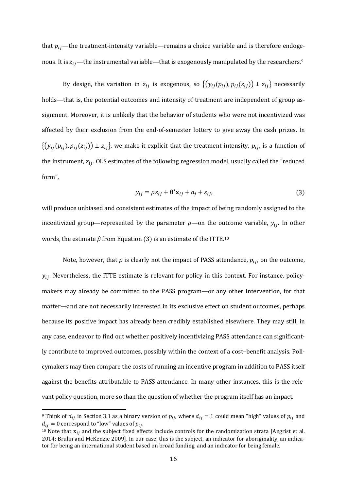that  $p_{ij}$ —the treatment-intensity variable—remains a choice variable and is therefore endogenous. It is  $z_{ij}$ —the instrumental variable—that is exogenously manipulated by the researchers.<sup>[9](#page-16-0)</sup>

By design, the variation in  $z_{ij}$  is exogenous, so  $\{(y_{ij}(p_{ij}), p_{ij}(z_{ij})) \perp z_{ij}\}$  necessarily holds—that is, the potential outcomes and intensity of treatment are independent of group assignment. Moreover, it is unlikely that the behavior of students who were not incentivized was affected by their exclusion from the end-of-semester lottery to give away the cash prizes. In  $\{(y_{ij}(p_{ij}), p_{ij}(z_{ij})) \perp z_{ij}\}\)$ , we make it explicit that the treatment intensity,  $p_{ij}$ , is a function of the instrument,  $z_{ij}$ . OLS estimates of the following regression model, usually called the "reduced form",

$$
y_{ij} = \rho z_{ij} + \mathbf{\theta}' \mathbf{x}_{ij} + a_j + \varepsilon_{ij},
$$
\n(3)

will produce unbiased and consistent estimates of the impact of being randomly assigned to the incentivized group—represented by the parameter  $\rho$ —on the outcome variable,  $y_{ij}$ . In other words, the estimate  $\hat{\rho}$  from Equation (3) is an estimate of the ITTE.<sup>[10](#page-17-0)</sup>

Note, however, that  $\rho$  is clearly not the impact of PASS attendance,  $p_{ij}$ , on the outcome,  $y_{ij}$ . Nevertheless, the ITTE estimate is relevant for policy in this context. For instance, policymakers may already be committed to the PASS program—or any other intervention, for that matter—and are not necessarily interested in its exclusive effect on student outcomes, perhaps because its positive impact has already been credibly established elsewhere. They may still, in any case, endeavor to find out whether positively incentivizing PASS attendance can significantly contribute to improved outcomes, possibly within the context of a cost–benefit analysis. Policymakers may then compare the costs of running an incentive program in addition to PASS itself against the benefits attributable to PASS attendance. In many other instances, this is the relevant policy question, more so than the question of whether the program itself has an impact.

<sup>&</sup>lt;sup>9</sup> Think of  $d_{ij}$  in Section 3.1 as a binary version of  $p_{ij}$ , where  $d_{ij} = 1$  could mean "high" values of  $p_{ij}$  and  $d_{ii} = 0$  correspond to "low" values of  $p_{ii}$ .

<span id="page-17-1"></span><span id="page-17-0"></span><sup>&</sup>lt;sup>10</sup> Note that  ${\bf x}_{ii}$  and the subject fixed effects include controls for the randomization strata [Angrist et al. 2014; Bruhn and McKenzie 2009]. In our case, this is the subject, an indicator for aboriginality, an indicator for being an international student based on broad funding, and an indicator for being female.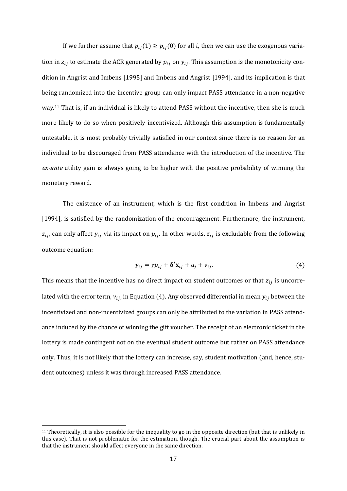If we further assume that  $p_{ij}(1) \geq p_{ij}(0)$  for all *i*, then we can use the exogenous variation in  $z_{ij}$  to estimate the ACR generated by  $p_{ij}$  on  $y_{ij}$ . This assumption is the monotonicity condition in Angrist and Imbens [1995] and Imbens and Angrist [1994], and its implication is that being randomized into the incentive group can only impact PASS attendance in a non-negative way.[11](#page-17-1) That is, if an individual is likely to attend PASS without the incentive, then she is much more likely to do so when positively incentivized. Although this assumption is fundamentally untestable, it is most probably trivially satisfied in our context since there is no reason for an individual to be discouraged from PASS attendance with the introduction of the incentive. The ex-ante utility gain is always going to be higher with the positive probability of winning the monetary reward.

The existence of an instrument, which is the first condition in Imbens and Angrist [1994], is satisfied by the randomization of the encouragement. Furthermore, the instrument,  $z_{ij}$ , can only affect  $y_{ij}$  via its impact on  $p_{ij}$ . In other words,  $z_{ij}$  is excludable from the following outcome equation:

$$
y_{ij} = \gamma p_{ij} + \delta' \mathbf{x}_{ij} + a_j + v_{ij}.
$$
 (4)

This means that the incentive has no direct impact on student outcomes or that  $z_{ij}$  is uncorrelated with the error term,  $v_{ij}$ , in Equation (4). Any observed differential in mean  $y_{ij}$  between the incentivized and non-incentivized groups can only be attributed to the variation in PASS attendance induced by the chance of winning the gift voucher. The receipt of an electronic ticket in the lottery is made contingent not on the eventual student outcome but rather on PASS attendance only. Thus, it is not likely that the lottery can increase, say, student motivation (and, hence, student outcomes) unless it was through increased PASS attendance.

<span id="page-18-0"></span><sup>11</sup> Theoretically, it is also possible for the inequality to go in the opposite direction (but that is unlikely in this case). That is not problematic for the estimation, though. The crucial part about the assumption is that the instrument should affect everyone in the same direction.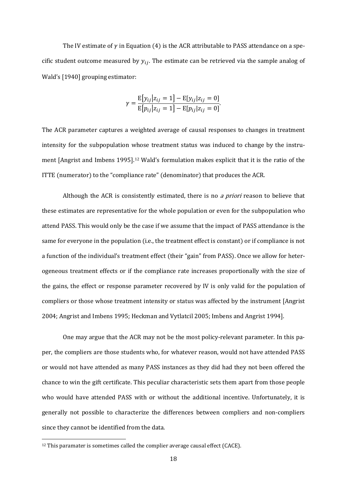The IV estimate of  $\gamma$  in Equation (4) is the ACR attributable to PASS attendance on a specific student outcome measured by  $y_{ij}$ . The estimate can be retrieved via the sample analog of Wald's [1940] grouping estimator:

$$
\gamma = \frac{E[y_{ij}|z_{ij} = 1] - E[y_{ij}|z_{ij} = 0]}{E[p_{ij}|z_{ij} = 1] - E[p_{ij}|z_{ij} = 0]}
$$

The ACR parameter captures a weighted average of causal responses to changes in treatment intensity for the subpopulation whose treatment status was induced to change by the instrument [Angrist and Imbens 1995].[12](#page-18-0) Wald's formulation makes explicit that it is the ratio of the ITTE (numerator) to the "compliance rate" (denominator) that produces the ACR.

Although the ACR is consistently estimated, there is no *a priori* reason to believe that these estimates are representative for the whole population or even for the subpopulation who attend PASS. This would only be the case if we assume that the impact of PASS attendance is the same for everyone in the population (i.e., the treatment effect is constant) or if compliance is not a function of the individual's treatment effect (their "gain" from PASS). Once we allow for heterogeneous treatment effects or if the compliance rate increases proportionally with the size of the gains, the effect or response parameter recovered by IV is only valid for the population of compliers or those whose treatment intensity or status was affected by the instrument [Angrist 2004; Angrist and Imbens 1995; Heckman and Vytlatcil 2005; Imbens and Angrist 1994].

One may argue that the ACR may not be the most policy-relevant parameter. In this paper, the compliers are those students who, for whatever reason, would not have attended PASS or would not have attended as many PASS instances as they did had they not been offered the chance to win the gift certificate. This peculiar characteristic sets them apart from those people who would have attended PASS with or without the additional incentive. Unfortunately, it is generally not possible to characterize the differences between compliers and non-compliers since they cannot be identified from the data.

<span id="page-19-0"></span> $12$  This paramater is sometimes called the complier average causal effect (CACE).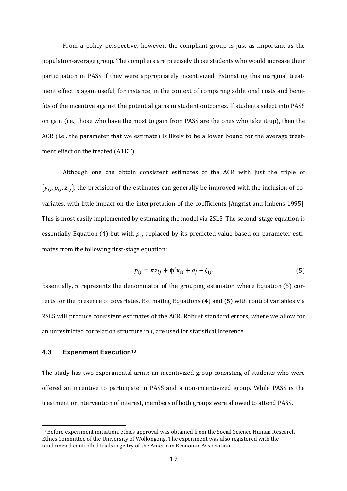From a policy perspective, however, the compliant group is just as important as the population-average group. The compliers are precisely those students who would increase their participation in PASS if they were appropriately incentivized. Estimating this marginal treatment effect is again useful, for instance, in the context of comparing additional costs and benefits of the incentive against the potential gains in student outcomes. If students select into PASS on gain (i.e., those who have the most to gain from PASS are the ones who take it up), then the ACR (i.e., the parameter that we estimate) is likely to be a lower bound for the average treatment effect on the treated (ATET).

Although one can obtain consistent estimates of the ACR with just the triple of  $\{y_{ij}, p_{ij}, z_{ij}\}\$ , the precision of the estimates can generally be improved with the inclusion of covariates, with little impact on the interpretation of the coefficients [Angrist and Imbens 1995]. This is most easily implemented by estimating the model via 2SLS. The second-stage equation is essentially Equation (4) but with  $p_{ij}$  replaced by its predicted value based on parameter estimates from the following first-stage equation:

$$
p_{ij} = \pi z_{ij} + \mathbf{\Phi}' \mathbf{x}_{ij} + a_j + \xi_{ij}.
$$
 (5)

Essentially,  $\pi$  represents the denominator of the grouping estimator, where Equation (5) corrects for the presence of covariates. Estimating Equations (4) and (5) with control variables via 2SLS will produce consistent estimates of the ACR. Robust standard errors, where we allow for an unrestricted correlation structure in  $i$ , are used for statistical inference.

#### **4.3 Experiment Execution[13](#page-19-0)**

**.** 

<span id="page-20-0"></span>The study has two experimental arms: an incentivized group consisting of students who were offered an incentive to participate in PASS and a non-incentivized group. While PASS is the treatment or intervention of interest, members of both groups were allowed to attend PASS.

<sup>13</sup> Before experiment initiation, ethics approval was obtained from the Social Science Human Research Ethics Committee of the University of Wollongong. The experiment was also registered with the randomized controlled trials registry of the American Economic Association.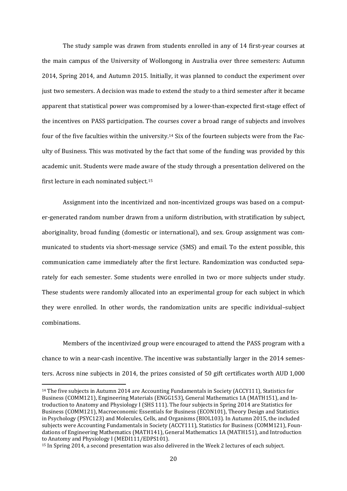The study sample was drawn from students enrolled in any of 14 first-year courses at the main campus of the University of Wollongong in Australia over three semesters: Autumn 2014, Spring 2014, and Autumn 2015. Initially, it was planned to conduct the experiment over just two semesters. A decision was made to extend the study to a third semester after it became apparent that statistical power was compromised by a lower-than-expected first-stage effect of the incentives on PASS participation. The courses cover a broad range of subjects and involves four of the five faculties within the university.[14](#page-20-0) Six of the fourteen subjects were from the Faculty of Business. This was motivated by the fact that some of the funding was provided by this academic unit. Students were made aware of the study through a presentation delivered on the first lecture in each nominated subject.[15](#page-21-0)

Assignment into the incentivized and non-incentivized groups was based on a computer-generated random number drawn from a uniform distribution, with stratification by subject, aboriginality, broad funding (domestic or international), and sex. Group assignment was communicated to students via short-message service (SMS) and email. To the extent possible, this communication came immediately after the first lecture. Randomization was conducted separately for each semester. Some students were enrolled in two or more subjects under study. These students were randomly allocated into an experimental group for each subject in which they were enrolled. In other words, the randomization units are specific individual–subject combinations.

Members of the incentivized group were encouraged to attend the PASS program with a chance to win a near-cash incentive. The incentive was substantially larger in the 2014 semesters. Across nine subjects in 2014, the prizes consisted of 50 gift certificates worth AUD 1,000

 $\overline{a}$ 

<sup>14</sup> The five subjects in Autumn 2014 are Accounting Fundamentals in Society (ACCY111), Statistics for Business (COMM121), Engineering Materials (ENGG153), General Mathematics 1A (MATH151), and Introduction to Anatomy and Physiology I (SHS 111). The four subjects in Spring 2014 are Statistics for Business (COMM121), Macroeconomic Essentials for Business (ECON101), Theory Design and Statistics in Psychology (PSYC123) and Molecules, Cells, and Organisms (BIOL103). In Autumn 2015, the included subjects were Accounting Fundamentals in Society (ACCY111), Statistics for Business (COMM121), Foundations of Engineering Mathematics (MATH141), General Mathematics 1A (MATH151), and Introduction to Anatomy and Physiology I (MEDI111/EDPS101).

<span id="page-21-1"></span><span id="page-21-0"></span><sup>15</sup> In Spring 2014, a second presentation was also delivered in the Week 2 lectures of each subject.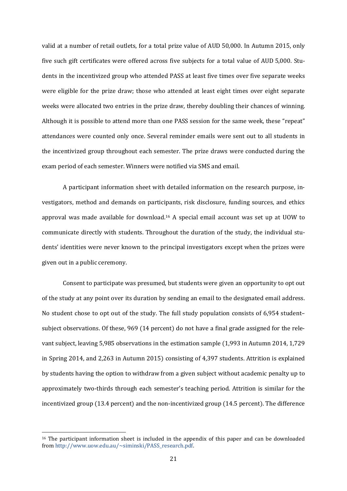valid at a number of retail outlets, for a total prize value of AUD 50,000. In Autumn 2015, only five such gift certificates were offered across five subjects for a total value of AUD 5,000. Students in the incentivized group who attended PASS at least five times over five separate weeks were eligible for the prize draw; those who attended at least eight times over eight separate weeks were allocated two entries in the prize draw, thereby doubling their chances of winning. Although it is possible to attend more than one PASS session for the same week, these "repeat" attendances were counted only once. Several reminder emails were sent out to all students in the incentivized group throughout each semester. The prize draws were conducted during the exam period of each semester. Winners were notified via SMS and email.

A participant information sheet with detailed information on the research purpose, investigators, method and demands on participants, risk disclosure, funding sources, and ethics approval was made available for download.[16](#page-21-1) A special email account was set up at UOW to communicate directly with students. Throughout the duration of the study, the individual students' identities were never known to the principal investigators except when the prizes were given out in a public ceremony.

Consent to participate was presumed, but students were given an opportunity to opt out of the study at any point over its duration by sending an email to the designated email address. No student chose to opt out of the study. The full study population consists of 6,954 student– subject observations. Of these, 969 (14 percent) do not have a final grade assigned for the relevant subject, leaving 5,985 observations in the estimation sample (1,993 in Autumn 2014, 1,729 in Spring 2014, and 2,263 in Autumn 2015) consisting of 4,397 students. Attrition is explained by students having the option to withdraw from a given subject without academic penalty up to approximately two-thirds through each semester's teaching period. Attrition is similar for the incentivized group (13.4 percent) and the non-incentivized group (14.5 percent). The difference

<span id="page-22-0"></span> $\overline{a}$ 

<sup>&</sup>lt;sup>16</sup> The participant information sheet is included in the appendix of this paper and can be downloaded from [http://www.uow.edu.au/~siminski/PASS\\_research.pdf.](http://www.uow.edu.au/~siminski/PASS_research.pdf)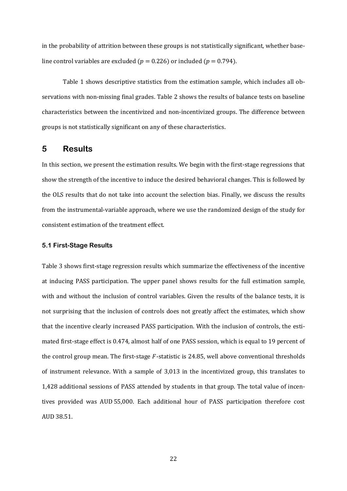in the probability of attrition between these groups is not statistically significant, whether baseline control variables are excluded ( $p = 0.226$ ) or included ( $p = 0.794$ ).

[Table 1](#page-36-0) shows descriptive statistics from the estimation sample, which includes all observations with non-missing final grades. [Table 2](#page-37-0) shows the results of balance tests on baseline characteristics between the incentivized and non-incentivized groups. The difference between groups is not statistically significant on any of these characteristics.

### **5 Results**

In this section, we present the estimation results. We begin with the first-stage regressions that show the strength of the incentive to induce the desired behavioral changes. This is followed by the OLS results that do not take into account the selection bias. Finally, we discuss the results from the instrumental-variable approach, where we use the randomized design of the study for consistent estimation of the treatment effect.

#### **5.1 First-Stage Results**

[Table](#page-38-0) 3 shows first-stage regression results which summarize the effectiveness of the incentive at inducing PASS participation. The upper panel shows results for the full estimation sample, with and without the inclusion of control variables. Given the results of the balance tests, it is not surprising that the inclusion of controls does not greatly affect the estimates, which show that the incentive clearly increased PASS participation. With the inclusion of controls, the estimated first-stage effect is 0.474, almost half of one PASS session, which is equal to 19 percent of the control group mean. The first-stage  $F$ -statistic is 24.85, well above conventional thresholds of instrument relevance. With a sample of 3,013 in the incentivized group, this translates to 1,428 additional sessions of PASS attended by students in that group. The total value of incentives provided was AUD 55,000. Each additional hour of PASS participation therefore cost AUD 38.51.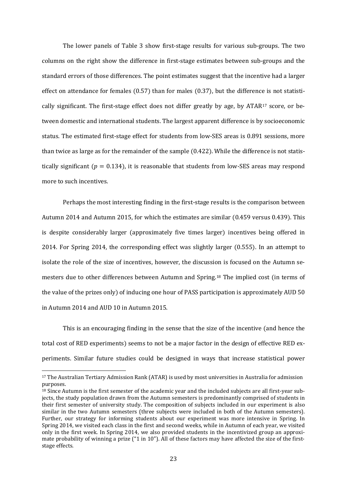The lower panels of [Table 3](#page-38-0) show first-stage results for various sub-groups. The two columns on the right show the difference in first-stage estimates between sub-groups and the standard errors of those differences. The point estimates suggest that the incentive had a larger effect on attendance for females (0.57) than for males (0.37), but the difference is not statistically significant. The first-stage effect does not differ greatly by age, by  $ATAR<sup>17</sup>$  $ATAR<sup>17</sup>$  $ATAR<sup>17</sup>$  score, or between domestic and international students. The largest apparent difference is by socioeconomic status. The estimated first-stage effect for students from low-SES areas is 0.891 sessions, more than twice as large as for the remainder of the sample (0.422). While the difference is not statistically significant ( $p = 0.134$ ), it is reasonable that students from low-SES areas may respond more to such incentives.

Perhaps the most interesting finding in the first-stage results is the comparison between Autumn 2014 and Autumn 2015, for which the estimates are similar (0.459 versus 0.439). This is despite considerably larger (approximately five times larger) incentives being offered in 2014. For Spring 2014, the corresponding effect was slightly larger (0.555). In an attempt to isolate the role of the size of incentives, however, the discussion is focused on the Autumn semesters due to other differences between Autumn and Spring.[18](#page-24-0) The implied cost (in terms of the value of the prizes only) of inducing one hour of PASS participation is approximately AUD 50 in Autumn 2014 and AUD 10 in Autumn 2015.

This is an encouraging finding in the sense that the size of the incentive (and hence the total cost of RED experiments) seems to not be a major factor in the design of effective RED experiments. Similar future studies could be designed in ways that increase statistical power

<sup>17</sup> The Australian Tertiary Admission Rank (ATAR) is used by most universities in Australia for admission purposes.

<span id="page-24-1"></span><span id="page-24-0"></span><sup>18</sup> Since Autumn is the first semester of the academic year and the included subjects are all first-year subjects, the study population drawn from the Autumn semesters is predominantly comprised of students in their first semester of university study. The composition of subjects included in our experiment is also similar in the two Autumn semesters (three subjects were included in both of the Autumn semesters). Further, our strategy for informing students about our experiment was more intensive in Spring. In Spring 2014, we visited each class in the first and second weeks, while in Autumn of each year, we visited only in the first week. In Spring 2014, we also provided students in the incentivized group an approximate probability of winning a prize ("1 in 10"). All of these factors may have affected the size of the firststage effects.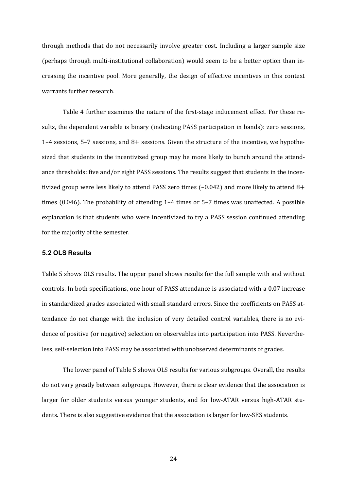through methods that do not necessarily involve greater cost. Including a larger sample size (perhaps through multi-institutional collaboration) would seem to be a better option than increasing the incentive pool. More generally, the design of effective incentives in this context warrants further research.

[Table 4](#page-40-0) further examines the nature of the first-stage inducement effect. For these results, the dependent variable is binary (indicating PASS participation in bands): zero sessions, 1–4 sessions, 5–7 sessions, and 8+ sessions. Given the structure of the incentive, we hypothesized that students in the incentivized group may be more likely to bunch around the attendance thresholds: five and/or eight PASS sessions. The results suggest that students in the incentivized group were less likely to attend PASS zero times (–0.042) and more likely to attend 8+ times (0.046). The probability of attending 1–4 times or 5–7 times was unaffected. A possible explanation is that students who were incentivized to try a PASS session continued attending for the majority of the semester.

#### **5.2 OLS Results**

[Table 5](#page-41-0) shows OLS results. The upper panel shows results for the full sample with and without controls. In both specifications, one hour of PASS attendance is associated with a 0.07 increase in standardized grades associated with small standard errors. Since the coefficients on PASS attendance do not change with the inclusion of very detailed control variables, there is no evidence of positive (or negative) selection on observables into participation into PASS. Nevertheless, self-selection into PASS may be associated with unobserved determinants of grades.

The lower panel of [Table 5](#page-41-0) shows OLS results for various subgroups. Overall, the results do not vary greatly between subgroups. However, there is clear evidence that the association is larger for older students versus younger students, and for low-ATAR versus high-ATAR students. There is also suggestive evidence that the association is larger for low-SES students.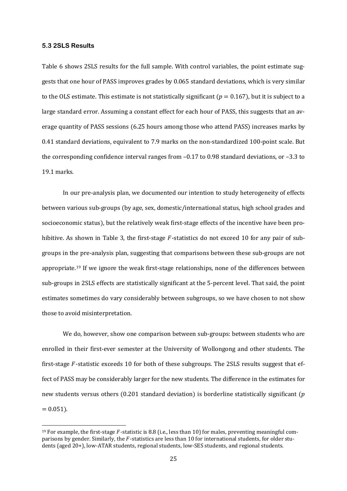#### **5.3 2SLS Results**

**.** 

[Table 6](#page-43-0) shows 2SLS results for the full sample. With control variables, the point estimate suggests that one hour of PASS improves grades by 0.065 standard deviations, which is very similar to the OLS estimate. This estimate is not statistically significant ( $p = 0.167$ ), but it is subject to a large standard error. Assuming a constant effect for each hour of PASS, this suggests that an average quantity of PASS sessions (6.25 hours among those who attend PASS) increases marks by 0.41 standard deviations, equivalent to 7.9 marks on the non-standardized 100-point scale. But the corresponding confidence interval ranges from  $-0.17$  to 0.98 standard deviations, or  $-3.3$  to 19.1 marks.

In our pre-analysis plan, we documented our intention to study heterogeneity of effects between various sub-groups (by age, sex, domestic/international status, high school grades and socioeconomic status), but the relatively weak first-stage effects of the incentive have been pro-hibitive. As shown in [Table 3,](#page-38-0) the first-stage  $F$ -statistics do not exceed 10 for any pair of subgroups in the pre-analysis plan, suggesting that comparisons between these sub-groups are not appropriate.[19](#page-24-1) If we ignore the weak first-stage relationships, none of the differences between sub-groups in 2SLS effects are statistically significant at the 5-percent level. That said, the point estimates sometimes do vary considerably between subgroups, so we have chosen to not show those to avoid misinterpretation.

We do, however, show one comparison between sub-groups: between students who are enrolled in their first-ever semester at the University of Wollongong and other students. The first-stage  $F$ -statistic exceeds 10 for both of these subgroups. The 2SLS results suggest that effect of PASS may be considerably larger for the new students. The difference in the estimates for new students versus others (0.201 standard deviation) is borderline statistically significant ( $p$ )  $= 0.051$ .

<sup>&</sup>lt;sup>19</sup> For example, the first-stage  $F$ -statistic is 8.8 (i.e., less than 10) for males, preventing meaningful comparisons by gender. Similarly, the  $F$ -statistics are less than 10 for international students, for older students (aged 20+), low-ATAR students, regional students, low-SES students, and regional students.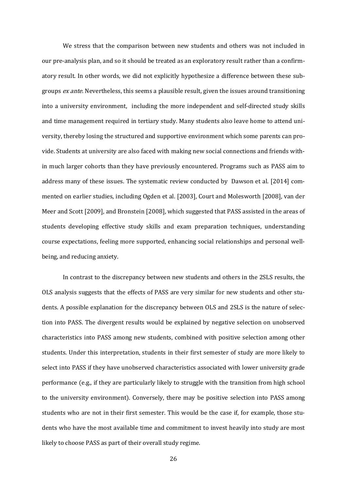We stress that the comparison between new students and others was not included in our pre-analysis plan, and so it should be treated as an exploratory result rather than a confirmatory result. In other words, we did not explicitly hypothesize a difference between these subgroups ex ante. Nevertheless, this seems a plausible result, given the issues around transitioning into a university environment, including the more independent and self-directed study skills and time management required in tertiary study. Many students also leave home to attend university, thereby losing the structured and supportive environment which some parents can provide. Students at university are also faced with making new social connections and friends within much larger cohorts than they have previously encountered. Programs such as PASS aim to address many of these issues. The systematic review conducted by Dawson et al. [2014] commented on earlier studies, including Ogden et al. [2003], Court and Molesworth [2008], van der Meer and Scott [2009], and Bronstein [2008], which suggested that PASS assisted in the areas of students developing effective study skills and exam preparation techniques, understanding course expectations, feeling more supported, enhancing social relationships and personal wellbeing, and reducing anxiety.

In contrast to the discrepancy between new students and others in the 2SLS results, the OLS analysis suggests that the effects of PASS are very similar for new students and other students. A possible explanation for the discrepancy between OLS and 2SLS is the nature of selection into PASS. The divergent results would be explained by negative selection on unobserved characteristics into PASS among new students, combined with positive selection among other students. Under this interpretation, students in their first semester of study are more likely to select into PASS if they have unobserved characteristics associated with lower university grade performance (e.g., if they are particularly likely to struggle with the transition from high school to the university environment). Conversely, there may be positive selection into PASS among students who are not in their first semester. This would be the case if, for example, those students who have the most available time and commitment to invest heavily into study are most likely to choose PASS as part of their overall study regime.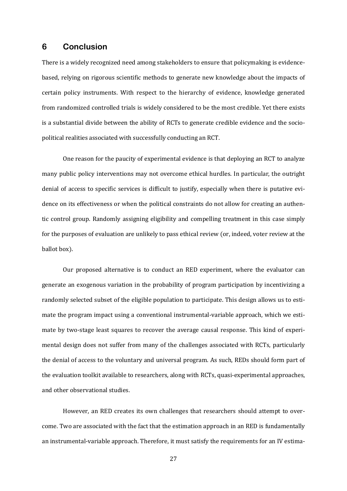### **6 Conclusion**

There is a widely recognized need among stakeholders to ensure that policymaking is evidencebased, relying on rigorous scientific methods to generate new knowledge about the impacts of certain policy instruments. With respect to the hierarchy of evidence, knowledge generated from randomized controlled trials is widely considered to be the most credible. Yet there exists is a substantial divide between the ability of RCTs to generate credible evidence and the sociopolitical realities associated with successfully conducting an RCT.

One reason for the paucity of experimental evidence is that deploying an RCT to analyze many public policy interventions may not overcome ethical hurdles. In particular, the outright denial of access to specific services is difficult to justify, especially when there is putative evidence on its effectiveness or when the political constraints do not allow for creating an authentic control group. Randomly assigning eligibility and compelling treatment in this case simply for the purposes of evaluation are unlikely to pass ethical review (or, indeed, voter review at the ballot box).

Our proposed alternative is to conduct an RED experiment, where the evaluator can generate an exogenous variation in the probability of program participation by incentivizing a randomly selected subset of the eligible population to participate. This design allows us to estimate the program impact using a conventional instrumental-variable approach, which we estimate by two-stage least squares to recover the average causal response. This kind of experimental design does not suffer from many of the challenges associated with RCTs, particularly the denial of access to the voluntary and universal program. As such, REDs should form part of the evaluation toolkit available to researchers, along with RCTs, quasi-experimental approaches, and other observational studies.

However, an RED creates its own challenges that researchers should attempt to overcome. Two are associated with the fact that the estimation approach in an RED is fundamentally an instrumental-variable approach. Therefore, it must satisfy the requirements for an IV estima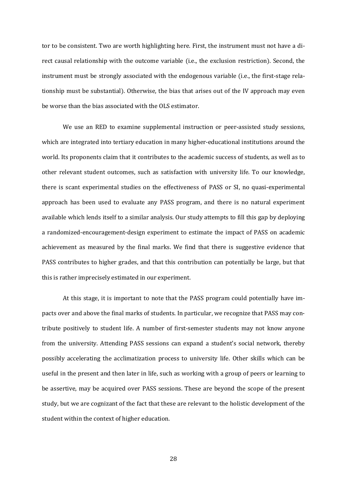tor to be consistent. Two are worth highlighting here. First, the instrument must not have a direct causal relationship with the outcome variable (i.e., the exclusion restriction). Second, the instrument must be strongly associated with the endogenous variable (i.e., the first-stage relationship must be substantial). Otherwise, the bias that arises out of the IV approach may even be worse than the bias associated with the OLS estimator.

We use an RED to examine supplemental instruction or peer-assisted study sessions, which are integrated into tertiary education in many higher-educational institutions around the world. Its proponents claim that it contributes to the academic success of students, as well as to other relevant student outcomes, such as satisfaction with university life. To our knowledge, there is scant experimental studies on the effectiveness of PASS or SI, no quasi-experimental approach has been used to evaluate any PASS program, and there is no natural experiment available which lends itself to a similar analysis. Our study attempts to fill this gap by deploying a randomized-encouragement-design experiment to estimate the impact of PASS on academic achievement as measured by the final marks. We find that there is suggestive evidence that PASS contributes to higher grades, and that this contribution can potentially be large, but that this is rather imprecisely estimated in our experiment.

At this stage, it is important to note that the PASS program could potentially have impacts over and above the final marks of students. In particular, we recognize that PASS may contribute positively to student life. A number of first-semester students may not know anyone from the university. Attending PASS sessions can expand a student's social network, thereby possibly accelerating the acclimatization process to university life. Other skills which can be useful in the present and then later in life, such as working with a group of peers or learning to be assertive, may be acquired over PASS sessions. These are beyond the scope of the present study, but we are cognizant of the fact that these are relevant to the holistic development of the student within the context of higher education.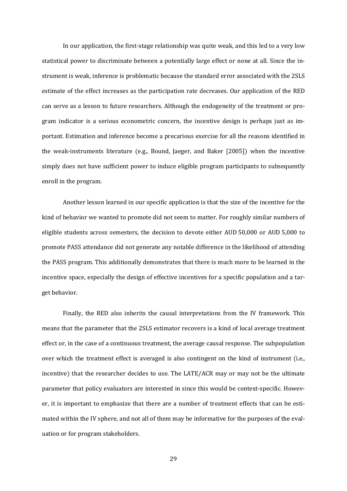In our application, the first-stage relationship was quite weak, and this led to a very low statistical power to discriminate between a potentially large effect or none at all. Since the instrument is weak, inference is problematic because the standard error associated with the 2SLS estimate of the effect increases as the participation rate decreases. Our application of the RED can serve as a lesson to future researchers. Although the endogeneity of the treatment or program indicator is a serious econometric concern, the incentive design is perhaps just as important. Estimation and inference become a precarious exercise for all the reasons identified in the weak-instruments literature (e.g., Bound, Jaeger, and Baker [2005]) when the incentive simply does not have sufficient power to induce eligible program participants to subsequently enroll in the program.

Another lesson learned in our specific application is that the size of the incentive for the kind of behavior we wanted to promote did not seem to matter. For roughly similar numbers of eligible students across semesters, the decision to devote either AUD 50,000 or AUD 5,000 to promote PASS attendance did not generate any notable difference in the likelihood of attending the PASS program. This additionally demonstrates that there is much more to be learned in the incentive space, especially the design of effective incentives for a specific population and a target behavior.

Finally, the RED also inherits the causal interpretations from the IV framework. This means that the parameter that the 2SLS estimator recovers is a kind of local average treatment effect or, in the case of a continuous treatment, the average causal response. The subpopulation over which the treatment effect is averaged is also contingent on the kind of instrument (i.e., incentive) that the researcher decides to use. The LATE/ACR may or may not be the ultimate parameter that policy evaluators are interested in since this would be context-specific. However, it is important to emphasize that there are a number of treatment effects that can be estimated within the IV sphere, and not all of them may be informative for the purposes of the evaluation or for program stakeholders.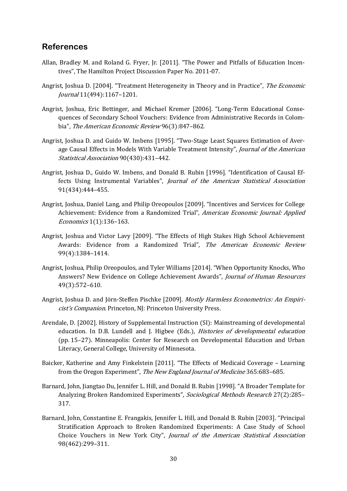# **References**

- Allan, Bradley M. and Roland G. Fryer, Jr. [2011]. "The Power and Pitfalls of Education Incentives", The Hamilton Project Discussion Paper No. 2011-07.
- Angrist, Joshua D. [2004]. "Treatment Heterogeneity in Theory and in Practice", The Economic Journal 11(494):1167–1201.
- Angrist, Joshua, Eric Bettinger, and Michael Kremer [2006]. "Long-Term Educational Consequences of Secondary School Vouchers: Evidence from Administrative Records in Colombia", The American Economic Review 96(3):847–862.
- Angrist, Joshua D. and Guido W. Imbens [1995]. "Two-Stage Least Squares Estimation of Average Causal Effects in Models With Variable Treatment Intensity", Journal of the American Statistical Association 90(430):431–442.
- Angrist, Joshua D., Guido W. Imbens, and Donald B. Rubin [1996]. "Identification of Causal Effects Using Instrumental Variables", Journal of the American Statistical Association 91(434):444–455.
- Angrist, Joshua, Daniel Lang, and Philip Oreopoulos [2009]. "Incentives and Services for College Achievement: Evidence from a Randomized Trial", American Economic Journal: Applied Economics 1(1):136–163.
- Angrist, Joshua and Victor Lavy [2009]. "The Effects of High Stakes High School Achievement Awards: Evidence from a Randomized Trial", The American Economic Review 99(4):1384–1414.
- Angrist, Joshua, Philip Oreopoulos, and Tyler Williams [2014]. "When Opportunity Knocks, Who Answers? New Evidence on College Achievement Awards", Journal of Human Resources 49(3):572–610.
- Angrist, Joshua D. and Jörn-Steffen Pischke [2009]. Mostly Harmless Econometrics: An Empiricist's Companion. Princeton, NJ: Princeton University Press.
- Arendale, D. [2002]. History of Supplemental Instruction (SI): Mainstreaming of developmental education. In D.B. Lundell and J. Higbee (Eds.), *Histories of developmental education* (pp. 15–27). Minneapolis: Center for Research on Developmental Education and Urban Literacy, General College, University of Minnesota.
- Baicker, Katherine and Amy Finkelstein [2011]. "The Effects of Medicaid Coverage Learning from the Oregon Experiment", The New England Journal of Medicine 365:683–685.
- Barnard, John, Jiangtao Du, Jennifer L. Hill, and Donald B. Rubin [1998]. "A Broader Template for Analyzing Broken Randomized Experiments", Sociological Methods Research 27(2):285– 317.
- Barnard, John, Constantine E. Frangakis, Jennifer L. Hill, and Donald B. Rubin [2003]. "Principal Stratification Approach to Broken Randomized Experiments: A Case Study of School Choice Vouchers in New York City", Journal of the American Statistical Association 98(462):299–311.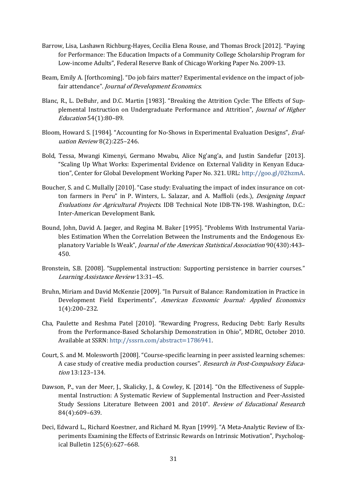- Barrow, Lisa, Lashawn Richburg-Hayes, Cecilia Elena Rouse, and Thomas Brock [2012]. "Paying for Performance: The Education Impacts of a Community College Scholarship Program for Low-income Adults", Federal Reserve Bank of Chicago Working Paper No. 2009-13.
- Beam, Emily A. [forthcoming]. "Do job fairs matter? Experimental evidence on the impact of jobfair attendance". Journal of Development Economics.
- Blanc, R., L. DeBuhr, and D.C. Martin [1983]. "Breaking the Attrition Cycle: The Effects of Supplemental Instruction on Undergraduate Performance and Attrition", Journal of Higher Education 54(1):80–89.
- Bloom, Howard S. [1984]. "Accounting for No-Shows in Experimental Evaluation Designs", Evaluation Review 8(2):225–246.
- Bold, Tessa, Mwangi Kimenyi, Germano Mwabu, Alice Ng'ang'a, and Justin Sandefur [2013]. "Scaling Up What Works: Experimental Evidence on External Validity in Kenyan Education", Center for Global Development Working Paper No. 321. URL: [http://goo.gl/02hzmA.](http://goo.gl/02hzmA)
- Boucher, S. and C. Mullally [2010]. "Case study: Evaluating the impact of index insurance on cotton farmers in Peru" in P. Winters, L. Salazar, and A. Maffioli (eds.), *Designing Impact* Evaluations for Agricultural Projects. IDB Technical Note IDB-TN-198. Washington, D.C.: Inter-American Development Bank.
- Bound, John, David A. Jaeger, and Regina M. Baker [1995]. "Problems With Instrumental Variables Estimation When the Correlation Between the Instruments and the Endogenous Explanatory Variable Is Weak", Journal of the American Statistical Association 90(430):443-450.
- Bronstein, S.B. [2008]. "Supplemental instruction: Supporting persistence in barrier courses." Learning Assistance Review 13:31–45.
- Bruhn, Miriam and David McKenzie [2009]. "In Pursuit of Balance: Randomization in Practice in Development Field Experiments", American Economic Journal: Applied Economics 1(4):200–232.
- Cha, Paulette and Reshma Patel [2010]. "Rewarding Progress, Reducing Debt: Early Results from the Performance-Based Scholarship Demonstration in Ohio", MDRC, October 2010. Available at SSRN[: http://sssrn.com/abstract=1786941.](http://sssrn.com/abstract=1786941)
- Court, S. and M. Molesworth [2008]. "Course-specific learning in peer assisted learning schemes: A case study of creative media production courses". Research in Post-Compulsory Education 13:123–134.
- Dawson, P., van der Meer, J., Skalicky, J., & Cowley, K. [2014]. "On the Effectiveness of Supplemental Instruction: A Systematic Review of Supplemental Instruction and Peer-Assisted Study Sessions Literature Between 2001 and 2010". Review of Educational Research 84(4):609–639.
- Deci, Edward L., Richard Koestner, and Richard M. Ryan [1999]. "A Meta-Analytic Review of Experiments Examining the Effects of Extrinsic Rewards on Intrinsic Motivation", Psychological Bulletin 125(6):627–668.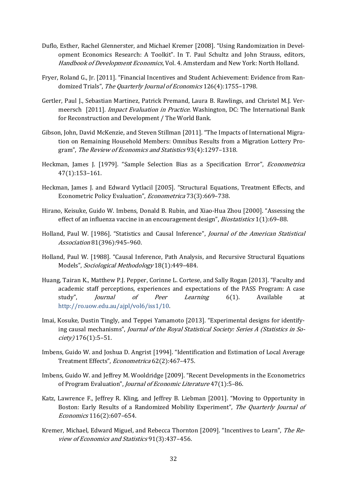- Duflo, Esther, Rachel Glennerster, and Michael Kremer [2008]. "Using Randomization in Development Economics Research: A Toolkit". In T. Paul Schultz and John Strauss, editors, Handbook of Development Economics, Vol. 4. Amsterdam and New York: North Holland.
- Fryer, Roland G., Jr. [2011]. "Financial Incentives and Student Achievement: Evidence from Randomized Trials", The Quarterly Journal of Economics 126(4):1755–1798.
- Gertler, Paul J., Sebastian Martinez, Patrick Premand, Laura B. Rawlings, and Christel M.J. Vermeersch [2011]. *Impact Evaluation in Practice*. Washington, DC: The International Bank for Reconstruction and Development / The World Bank.
- Gibson, John, David McKenzie, and Steven Stillman [2011]. "The Impacts of International Migration on Remaining Household Members: Omnibus Results from a Migration Lottery Program", The Review of Economics and Statistics 93(4):1297–1318.
- Heckman, James J. [1979]. "Sample Selection Bias as a Specification Error", *Econometrica* 47(1):153–161.
- Heckman, James J. and Edward Vytlacil [2005]. "Structural Equations, Treatment Effects, and Econometric Policy Evaluation", Econometrica 73(3):669–738.
- Hirano, Keisuke, Guido W. Imbens, Donald B. Rubin, and Xiao-Hua Zhou [2000]. "Assessing the effect of an influenza vaccine in an encouragement design", *Biostatistics* 1(1):69-88.
- Holland, Paul W. [1986]. "Statistics and Causal Inference", *Journal of the American Statistical* Association 81(396):945–960.
- Holland, Paul W. [1988]. "Causal Inference, Path Analysis, and Recursive Structural Equations Models", Sociological Methodology 18(1):449–484.
- Huang, Tairan K., Matthew P.J. Pepper, Corinne L. Cortese, and Sally Rogan [2013]. "Faculty and academic staff perceptions, experiences and expectations of the PASS Program: A case study", *Journal of Peer Learning* 6(1). Available at [http://ro.uow.edu.au/ajpl/vol6/iss1/10.](http://ro.uow.edu.au/ajpl/vol6/iss1/10)
- Imai, Kosuke, Dustin Tingly, and Teppei Yamamoto [2013]. "Experimental designs for identifying causal mechanisms", Journal of the Royal Statistical Society: Series A (Statistics in Society) 176(1):5–51.
- Imbens, Guido W. and Joshua D. Angrist [1994]. "Identification and Estimation of Local Average Treatment Effects", Econometrica 62(2):467–475.
- Imbens, Guido W. and Jeffrey M. Wooldridge [2009]. "Recent Developments in the Econometrics of Program Evaluation", Journal of Economic Literature 47(1):5–86.
- Katz, Lawrence F., Jeffrey R. Kling, and Jeffrey B. Liebman [2001]. "Moving to Opportunity in Boston: Early Results of a Randomized Mobility Experiment", The Quarterly Journal of Economics 116(2):607–654.
- Kremer, Michael, Edward Miguel, and Rebecca Thornton [2009]. "Incentives to Learn", The Review of Economics and Statistics 91(3):437–456.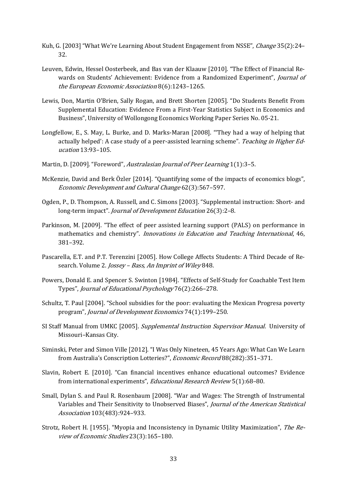- Kuh, G. [2003] "What We're Learning About Student Engagement from NSSE", *Change* 35(2):24– 32.
- Leuven, Edwin, Hessel Oosterbeek, and Bas van der Klaauw [2010]. "The Effect of Financial Rewards on Students' Achievement: Evidence from a Randomized Experiment", *Journal of* the European Economic Association 8(6):1243–1265.
- Lewis, Don, Martin O'Brien, Sally Rogan, and Brett Shorten [2005]. "Do Students Benefit From Supplemental Education: Evidence From a First-Year Statistics Subject in Economics and Business", University of Wollongong Economics Working Paper Series No. 05-21.
- Longfellow, E., S. May, L. Burke, and D. Marks-Maran [2008]. "'They had a way of helping that actually helped': A case study of a peer-assisted learning scheme". Teaching in Higher Education 13:93–105.
- Martin, D. [2009]. "Foreword", Australasian Journal of Peer Learning 1(1):3-5.
- McKenzie, David and Berk Özler [2014]. "Quantifying some of the impacts of economics blogs", Economic Development and Cultural Change 62(3):567–597.
- Ogden, P., D. Thompson, A. Russell, and C. Simons [2003]. "Supplemental instruction: Short- and long-term impact". *Journal of Development Education* 26(3):2-8.
- Parkinson, M. [2009]. "The effect of peer assisted learning support (PALS) on performance in mathematics and chemistry". Innovations in Education and Teaching International, 46, 381–392.
- Pascarella, E.T. and P.T. Terenzini [2005]. How College Affects Students: A Third Decade of Research. Volume 2. Jossey - Bass, An Imprint of Wiley 848.
- Powers, Donald E. and Spencer S. Swinton [1984]. "Effects of Self-Study for Coachable Test Item Types", Journal of Educational Psychology 76(2):266–278.
- Schultz, T. Paul [2004]. "School subsidies for the poor: evaluating the Mexican Progresa poverty program", Journal of Development Economics 74(1):199–250.
- SI Staff Manual from UMKC [2005]. Supplemental Instruction Supervisor Manual. University of Missouri–Kansas City.
- Siminski, Peter and Simon Ville [2012]. "I Was Only Nineteen, 45 Years Ago: What Can We Learn from Australia's Conscription Lotteries?", Economic Record 88(282):351–371.
- Slavin, Robert E. [2010]. "Can financial incentives enhance educational outcomes? Evidence from international experiments", Educational Research Review 5(1):68–80.
- Small, Dylan S. and Paul R. Rosenbaum [2008]. "War and Wages: The Strength of Instrumental Variables and Their Sensitivity to Unobserved Biases", Journal of the American Statistical Association 103(483):924–933.
- Strotz, Robert H. [1955]. "Myopia and Inconsistency in Dynamic Utility Maximization", The Review of Economic Studies 23(3):165–180.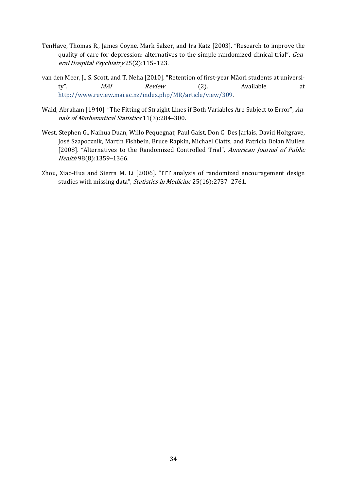- TenHave, Thomas R., James Coyne, Mark Salzer, and Ira Katz [2003]. "Research to improve the quality of care for depression: alternatives to the simple randomized clinical trial", General Hospital Psychiatry 25(2):115–123.
- van den Meer, J., S. Scott, and T. Neha [2010]. "Retention of first-year Māori students at universi-<br>ty". *MAI Review* (2). Available at ty". MAI Review (2). Available at [http://www.review.mai.ac.nz/index.php/MR/article/view/309.](http://www.review.mai.ac.nz/index.php/MR/article/view/309)
- Wald, Abraham [1940]. "The Fitting of Straight Lines if Both Variables Are Subject to Error", Annals of Mathematical Statistics 11(3):284–300.
- West, Stephen G., Naihua Duan, Willo Pequegnat, Paul Gaist, Don C. Des Jarlais, David Holtgrave, José Szapocznik, Martin Fishbein, Bruce Rapkin, Michael Clatts, and Patricia Dolan Mullen [2008]. "Alternatives to the Randomized Controlled Trial", American Journal of Public Health 98(8):1359–1366.
- Zhou, Xiao-Hua and Sierra M. Li [2006]. "ITT analysis of randomized encouragement design studies with missing data", Statistics in Medicine 25(16):2737–2761.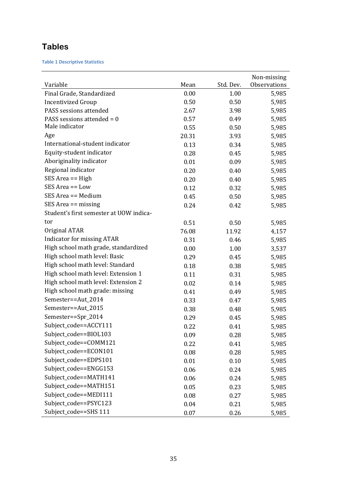# **Tables**

<span id="page-36-0"></span>**Table 1 Descriptive Statistics**

|                                         |       |           | Non-missing  |
|-----------------------------------------|-------|-----------|--------------|
| Variable                                | Mean  | Std. Dev. | Observations |
| Final Grade, Standardized               | 0.00  | 1.00      | 5,985        |
| <b>Incentivized Group</b>               | 0.50  | 0.50      | 5,985        |
| PASS sessions attended                  | 2.67  | 3.98      | 5,985        |
| PASS sessions attended = 0              | 0.57  | 0.49      | 5,985        |
| Male indicator                          | 0.55  | 0.50      | 5,985        |
| Age                                     | 20.31 | 3.93      | 5,985        |
| International-student indicator         | 0.13  | 0.34      | 5,985        |
| Equity-student indicator                | 0.28  | 0.45      | 5,985        |
| Aboriginality indicator                 | 0.01  | 0.09      | 5,985        |
| Regional indicator                      | 0.20  | 0.40      | 5,985        |
| $SES$ Area == High                      | 0.20  | 0.40      | 5,985        |
| $SES$ Area == Low                       | 0.12  | 0.32      | 5,985        |
| $SES$ Area == Medium                    | 0.45  | 0.50      | 5,985        |
| SES Area $==$ missing                   | 0.24  | 0.42      | 5,985        |
| Student's first semester at UOW indica- |       |           |              |
| tor                                     | 0.51  | 0.50      | 5,985        |
| Original ATAR                           | 76.08 | 11.92     | 4,157        |
| <b>Indicator for missing ATAR</b>       | 0.31  | 0.46      | 5,985        |
| High school math grade, standardized    | 0.00  | 1.00      | 3,537        |
| High school math level: Basic           | 0.29  | 0.45      | 5,985        |
| High school math level: Standard        | 0.18  | 0.38      | 5,985        |
| High school math level: Extension 1     | 0.11  | 0.31      | 5,985        |
| High school math level: Extension 2     | 0.02  | 0.14      | 5,985        |
| High school math grade: missing         | 0.41  | 0.49      | 5,985        |
| Semester==Aut_2014                      | 0.33  | 0.47      | 5,985        |
| Semester==Aut_2015                      | 0.38  | 0.48      | 5,985        |
| Semester==Spr_2014                      | 0.29  | 0.45      | 5,985        |
| Subject_code==ACCY111                   | 0.22  | 0.41      | 5,985        |
| Subject_code==BIOL103                   | 0.09  | 0.28      | 5,985        |
| Subject_code==COMM121                   | 0.22  | 0.41      | 5,985        |
| Subject_code==ECON101                   | 0.08  | 0.28      | 5,985        |
| Subject code==EDPS101                   | 0.01  | 0.10      | 5,985        |
| Subject_code==ENGG153                   | 0.06  | 0.24      | 5,985        |
| Subject_code==MATH141                   | 0.06  | 0.24      | 5,985        |
| Subject_code==MATH151                   | 0.05  | 0.23      | 5,985        |
| Subject code==MEDI111                   | 0.08  | 0.27      | 5,985        |
| Subject code==PSYC123                   | 0.04  | 0.21      | 5,985        |
| Subject_code==SHS 111                   | 0.07  | 0.26      | 5,985        |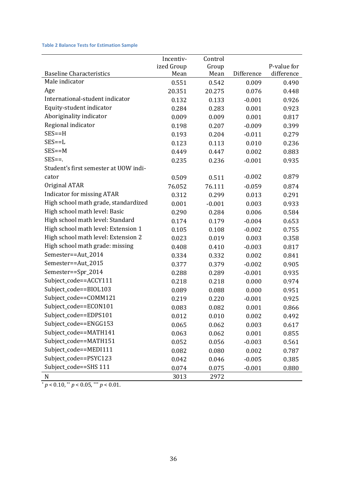#### <span id="page-37-0"></span>**Table 2 Balance Tests for Estimation Sample**

|                                       | Incentiv-  | Control  |            |             |
|---------------------------------------|------------|----------|------------|-------------|
|                                       | ized Group | Group    |            | P-value for |
| <b>Baseline Characteristics</b>       | Mean       | Mean     | Difference | difference  |
| Male indicator                        | 0.551      | 0.542    | 0.009      | 0.490       |
| Age                                   | 20.351     | 20.275   | 0.076      | 0.448       |
| International-student indicator       | 0.132      | 0.133    | $-0.001$   | 0.926       |
| Equity-student indicator              | 0.284      | 0.283    | 0.001      | 0.923       |
| Aboriginality indicator               | 0.009      | 0.009    | 0.001      | 0.817       |
| Regional indicator                    | 0.198      | 0.207    | $-0.009$   | 0.399       |
| $SES = H$                             | 0.193      | 0.204    | $-0.011$   | 0.279       |
| $SES==L$                              | 0.123      | 0.113    | 0.010      | 0.236       |
| $SES==M$                              | 0.449      | 0.447    | 0.002      | 0.883       |
| $SES ==$ .                            | 0.235      | 0.236    | $-0.001$   | 0.935       |
| Student's first semester at UOW indi- |            |          |            |             |
| cator                                 | 0.509      | 0.511    | $-0.002$   | 0.879       |
| Original ATAR                         | 76.052     | 76.111   | $-0.059$   | 0.874       |
| <b>Indicator for missing ATAR</b>     | 0.312      | 0.299    | 0.013      | 0.291       |
| High school math grade, standardized  | 0.001      | $-0.001$ | 0.003      | 0.933       |
| High school math level: Basic         | 0.290      | 0.284    | 0.006      | 0.584       |
| High school math level: Standard      | 0.174      | 0.179    | $-0.004$   | 0.653       |
| High school math level: Extension 1   | 0.105      | 0.108    | $-0.002$   | 0.755       |
| High school math level: Extension 2   | 0.023      | 0.019    | 0.003      | 0.358       |
| High school math grade: missing       | 0.408      | 0.410    | $-0.003$   | 0.817       |
| Semester==Aut_2014                    | 0.334      | 0.332    | 0.002      | 0.841       |
| Semester==Aut_2015                    | 0.377      | 0.379    | $-0.002$   | 0.905       |
| Semester==Spr_2014                    | 0.288      | 0.289    | $-0.001$   | 0.935       |
| Subject_code==ACCY111                 | 0.218      | 0.218    | 0.000      | 0.974       |
| Subject_code==BIOL103                 | 0.089      | 0.088    | 0.000      | 0.951       |
| Subject_code==COMM121                 | 0.219      | 0.220    | $-0.001$   | 0.925       |
| Subject_code==ECON101                 | 0.083      | 0.082    | 0.001      | 0.866       |
| Subject_code==EDPS101                 | 0.012      | 0.010    | 0.002      | 0.492       |
| Subject_code==ENGG153                 | 0.065      | 0.062    | 0.003      | 0.617       |
| Subject_code==MATH141                 | 0.063      | 0.062    | 0.001      | 0.855       |
| Subject_code==MATH151                 | 0.052      | 0.056    | $-0.003$   | 0.561       |
| Subject code==MEDI111                 | 0.082      | 0.080    | 0.002      | 0.787       |
| Subject_code==PSYC123                 | 0.042      | 0.046    | $-0.005$   | 0.385       |
| Subject_code==SHS 111                 | 0.074      | 0.075    | $-0.001$   | 0.880       |
| N                                     | 3013       | 2972     |            |             |

\* *p* < 0.10, \*\* *p* < 0.05, \*\*\* *p* < 0.01.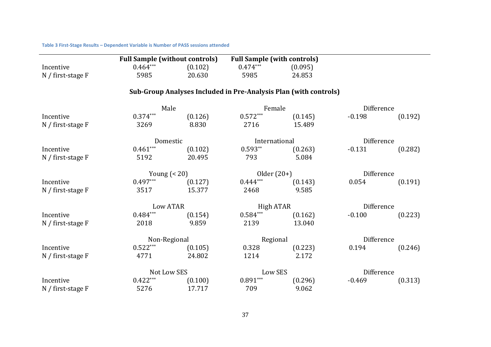**Table 3 First-Stage Results – Dependent Variable is Number of PASS sessions attended**

<span id="page-38-0"></span>

|                       | <b>Full Sample (without controls)</b> |         | <b>Full Sample (with controls)</b> |                                                                  |            |         |
|-----------------------|---------------------------------------|---------|------------------------------------|------------------------------------------------------------------|------------|---------|
| Incentive             | $0.464***$                            | (0.102) | $0.474***$                         | (0.095)                                                          |            |         |
| N / first-stage F     | 5985                                  | 20.630  | 5985                               | 24.853                                                           |            |         |
|                       |                                       |         |                                    | Sub-Group Analyses Included in Pre-Analysis Plan (with controls) |            |         |
|                       | Male                                  |         | Female                             |                                                                  | Difference |         |
| Incentive             | $0.374***$                            | (0.126) | $0.572***$                         | (0.145)                                                          | $-0.198$   | (0.192) |
| $N /$ first-stage $F$ | 3269                                  | 8.830   | 2716                               | 15.489                                                           |            |         |
|                       | Domestic                              |         | International                      |                                                                  | Difference |         |
| Incentive             | $0.461^{\ast\ast\ast}$                | (0.102) | $0.593**$                          | (0.263)                                                          | $-0.131$   | (0.282) |
| N / first-stage F     | 5192                                  | 20.495  | 793                                | 5.084                                                            |            |         |
|                       | Young $(20)$                          |         | Older $(20+)$                      |                                                                  | Difference |         |
| Incentive             | $0.497***$                            | (0.127) | $0.444***$                         | (0.143)                                                          | 0.054      | (0.191) |
| N / first-stage F     | 3517                                  | 15.377  | 2468                               | 9.585                                                            |            |         |
|                       | <b>Low ATAR</b>                       |         | <b>High ATAR</b>                   |                                                                  | Difference |         |
| Incentive             | $0.484***$                            | (0.154) | $0.584***$                         | (0.162)                                                          | $-0.100$   | (0.223) |
| N / first-stage F     | 2018                                  | 9.859   | 2139                               | 13.040                                                           |            |         |
|                       | Non-Regional                          |         | Regional                           |                                                                  | Difference |         |
| Incentive             | $0.522***$                            | (0.105) | 0.328                              | (0.223)                                                          | 0.194      | (0.246) |
| N / first-stage F     | 4771                                  | 24.802  | 1214                               | 2.172                                                            |            |         |
|                       | Not Low SES                           |         | Low SES                            |                                                                  | Difference |         |
| Incentive             | $0.422***$                            | (0.100) | $0.891***$                         | (0.296)                                                          | $-0.469$   | (0.313) |
| N / first-stage F     | 5276                                  | 17.717  | 709                                | 9.062                                                            |            |         |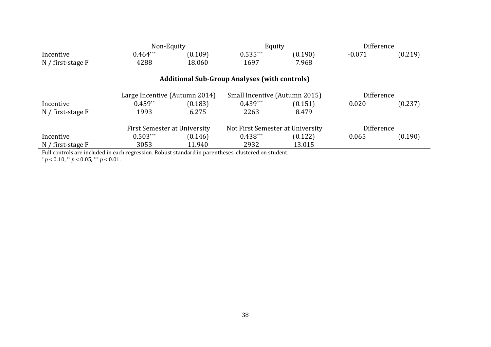|                       | Non-Equity<br>Equity          |         |                                                      |         | Difference |         |
|-----------------------|-------------------------------|---------|------------------------------------------------------|---------|------------|---------|
| Incentive             | $0.464***$                    | (0.109) | $0.535***$                                           | (0.190) | $-0.071$   | (0.219) |
| $N /$ first-stage $F$ | 4288                          | 18.060  | 1697                                                 | 7.968   |            |         |
|                       |                               |         | <b>Additional Sub-Group Analyses (with controls)</b> |         |            |         |
|                       | Large Incentive (Autumn 2014) |         | Small Incentive (Autumn 2015)                        |         | Difference |         |
| Incentive             | $0.459**$                     | (0.183) | $0.439***$                                           | (0.151) | 0.020      | (0.237) |
| $N /$ first-stage $F$ | 1993                          | 6.275   | 2263                                                 | 8.479   |            |         |
|                       | First Semester at University  |         | Not First Semester at University                     |         | Difference |         |
| Incentive             | $0.503***$                    | (0.146) | $0.438***$                                           | (0.122) | 0.065      | (0.190) |
| $N /$ first-stage $F$ | 3053                          | 11.940  | 2932                                                 | 13.015  |            |         |

Full controls are included in each regression. Robust standard in parentheses, clustered on student.

\* *p* < 0.10, \*\* *p* < 0.05, \*\*\* *p* < 0.01.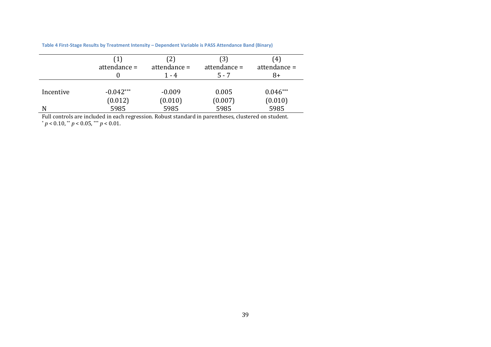|           | (1)          | 〔2〕          | (3)          | $^{(4)}$       |
|-----------|--------------|--------------|--------------|----------------|
|           | attendance = | attendance = | attendance = | $attendance =$ |
|           |              | $1 - 4$      | 5 - 7        | 8+             |
|           |              |              |              |                |
| Incentive | $-0.042***$  | $-0.009$     | 0.005        | $0.046***$     |
|           | (0.012)      | (0.010)      | (0.007)      | (0.010)        |
| N         | 5985         | 5985         | 5985         | 5985           |
|           |              |              |              |                |

**Table 4 First-Stage Results by Treatment Intensity – Dependent Variable is PASS Attendance Band (Binary)**

<span id="page-40-0"></span>Full controls are included in each regression. Robust standard in parentheses, clustered on student.  $p < 0.10,$  \*\*  $p < 0.05,$  \*\*\*  $p < 0.01$ .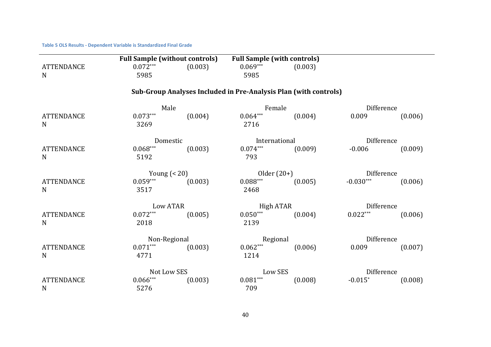#### **Table 5 OLS Results - Dependent Variable is Standardized Final Grade**

<span id="page-41-0"></span>

|                        | <b>Full Sample (without controls)</b> |         | <b>Full Sample (with controls)</b>                               |         |             |         |
|------------------------|---------------------------------------|---------|------------------------------------------------------------------|---------|-------------|---------|
| <b>ATTENDANCE</b>      | $0.072***$                            | (0.003) | $0.069***$                                                       | (0.003) |             |         |
| N                      | 5985                                  |         | 5985                                                             |         |             |         |
|                        |                                       |         | Sub-Group Analyses Included in Pre-Analysis Plan (with controls) |         |             |         |
|                        | Male                                  |         | Female                                                           |         | Difference  |         |
| <b>ATTENDANCE</b><br>N | $0.073***$<br>3269                    | (0.004) | $0.064***$<br>2716                                               | (0.004) | 0.009       | (0.006) |
|                        | Domestic                              |         | International                                                    |         | Difference  |         |
| <b>ATTENDANCE</b>      | $0.068***$                            | (0.003) | $0.074***$                                                       | (0.009) | $-0.006$    | (0.009) |
| $\mathbf N$            | 5192                                  |         | 793                                                              |         |             |         |
|                        | Young $(20)$                          |         | Older $(20+)$                                                    |         | Difference  |         |
| <b>ATTENDANCE</b>      | $0.059***$                            | (0.003) | $0.088***$                                                       | (0.005) | $-0.030***$ | (0.006) |
| $\mathbf N$            | 3517                                  |         | 2468                                                             |         |             |         |
|                        | Low ATAR                              |         | High ATAR                                                        |         | Difference  |         |
| <b>ATTENDANCE</b>      | $0.072***$                            | (0.005) | $0.050***$                                                       | (0.004) | $0.022***$  | (0.006) |
| $\mathbf N$            | 2018                                  |         | 2139                                                             |         |             |         |
|                        | Non-Regional                          |         | Regional                                                         |         | Difference  |         |
| <b>ATTENDANCE</b>      | $0.071***$                            | (0.003) | $0.062***$                                                       | (0.006) | 0.009       | (0.007) |
| N                      | 4771                                  |         | 1214                                                             |         |             |         |
|                        | Not Low SES                           |         | Low SES                                                          |         | Difference  |         |
| <b>ATTENDANCE</b>      | $0.066***$                            | (0.003) | $0.081***$                                                       | (0.008) | $-0.015*$   | (0.008) |
| N                      | 5276                                  |         | 709                                                              |         |             |         |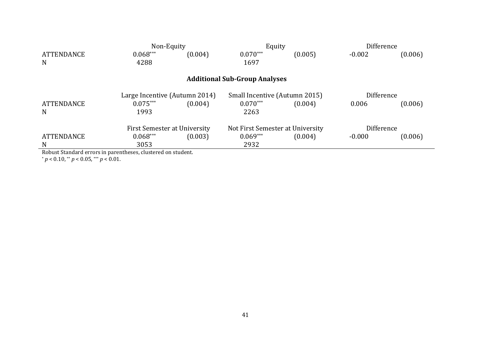|                                               | Non-Equity                    |         |                                      | Equity  |                   | Difference |
|-----------------------------------------------|-------------------------------|---------|--------------------------------------|---------|-------------------|------------|
| <b>ATTENDANCE</b>                             | $0.068***$                    | (0.004) | $0.070***$                           | (0.005) | $-0.002$          | (0.006)    |
| N                                             | 4288                          |         | 1697                                 |         |                   |            |
|                                               |                               |         | <b>Additional Sub-Group Analyses</b> |         |                   |            |
|                                               | Large Incentive (Autumn 2014) |         | Small Incentive (Autumn 2015)        |         | <b>Difference</b> |            |
| <b>ATTENDANCE</b>                             | $0.075***$                    | (0.004) | $0.070***$                           | (0.004) | 0.006             | (0.006)    |
| N                                             | 1993                          |         | 2263                                 |         |                   |            |
|                                               | First Semester at University  |         | Not First Semester at University     |         | Difference        |            |
| <b>ATTENDANCE</b>                             | $0.068***$                    | (0.003) | $0.069***$                           | (0.004) | $-0.000$          | (0.006)    |
| N                                             | 3053                          |         | 2932                                 |         |                   |            |
| n <sub>1</sub><br>$\cdot$ $\alpha$ , $\alpha$ | $\cdot$ 1<br>$\mathbf{1}$     | . . 1 . |                                      |         |                   |            |

Robust Standard errors in parentheses, clustered on student.

\* *p* < 0.10, \*\* *p* < 0.05, \*\*\* *p* < 0.01.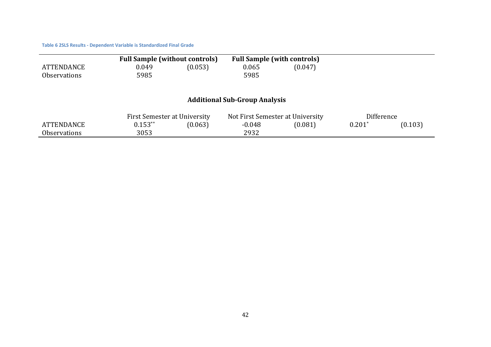**Table 6 2SLS Results - Dependent Variable is Standardized Final Grade**

<span id="page-43-0"></span>

|                     | <b>Full Sample (without controls)</b> |         | <b>Full Sample (with controls)</b>   |         |            |         |
|---------------------|---------------------------------------|---------|--------------------------------------|---------|------------|---------|
| ATTENDANCE          | 0.049                                 | (0.053) | 0.065                                | (0.047) |            |         |
| <b>Observations</b> | 5985                                  |         | 5985                                 |         |            |         |
|                     |                                       |         |                                      |         |            |         |
|                     |                                       |         | <b>Additional Sub-Group Analysis</b> |         |            |         |
|                     | First Semester at University          |         | Not First Semester at University     |         | Difference |         |
| ATTENDANCE          | $0.153**$                             | (0.063) | $-0.048$                             | (0.081) | $0.201*$   | (0.103) |
| <b>Observations</b> | 3053                                  |         | 2932                                 |         |            |         |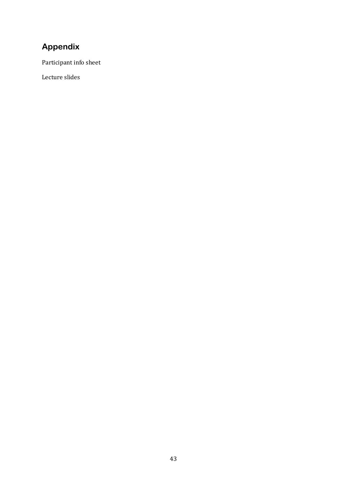# **Appendix**

Participant info sheet

Lecture slides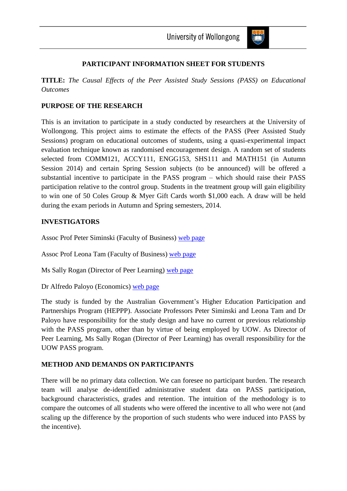

# **PARTICIPANT INFORMATION SHEET FOR STUDENTS**

**TITLE:** *The Causal Effects of the Peer Assisted Study Sessions (PASS) on Educational Outcomes*

## **PURPOSE OF THE RESEARCH**

This is an invitation to participate in a study conducted by researchers at the University of Wollongong. This project aims to estimate the effects of the PASS (Peer Assisted Study Sessions) program on educational outcomes of students, using a quasi-experimental impact evaluation technique known as randomised encouragement design. A random set of students selected from COMM121, ACCY111, ENGG153, SHS111 and MATH151 (in Autumn Session 2014) and certain Spring Session subjects (to be announced) will be offered a substantial incentive to participate in the PASS program – which should raise their PASS participation relative to the control group. Students in the treatment group will gain eligibility to win one of 50 Coles Group & Myer Gift Cards worth \$1,000 each. A draw will be held during the exam periods in Autumn and Spring semesters, 2014.

## **INVESTIGATORS**

Assoc Prof Peter Siminski (Faculty of Business) [web page](http://business.uow.edu.au/econ/who/UOW042469)

Assoc Prof Leona Tam (Faculty of Business) [web page](http://business.uow.edu.au/smm/mark/academics/UOW144148.html)

Ms Sally Rogan (Director of Peer Learning) [web page](http://www.uow.edu.au/student/services/pass/UOW093210.html)

Dr Alfredo Paloyo (Economics) [web page](https://ris.uow.edu.au/ris_public/WebObjects/RISPublic.woa/wa/Staff/selectPerson?id=97320&group=3947)

The study is funded by the Australian Government's Higher Education Participation and Partnerships Program (HEPPP). Associate Professors Peter Siminski and Leona Tam and Dr Paloyo have responsibility for the study design and have no current or previous relationship with the PASS program, other than by virtue of being employed by UOW. As Director of Peer Learning, Ms Sally Rogan (Director of Peer Learning) has overall responsibility for the UOW PASS program.

## **METHOD AND DEMANDS ON PARTICIPANTS**

There will be no primary data collection. We can foresee no participant burden. The research team will analyse de-identified administrative student data on PASS participation, background characteristics, grades and retention. The intuition of the methodology is to compare the outcomes of all students who were offered the incentive to all who were not (and scaling up the difference by the proportion of such students who were induced into PASS by the incentive).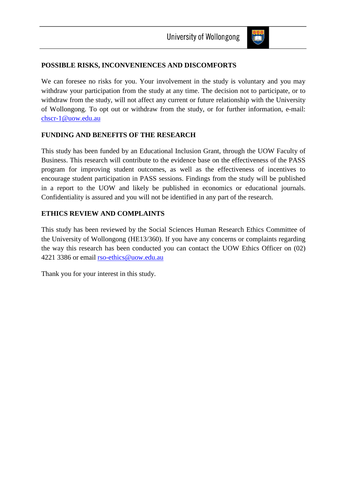

# **POSSIBLE RISKS, INCONVENIENCES AND DISCOMFORTS**

We can foresee no risks for you. Your involvement in the study is voluntary and you may withdraw your participation from the study at any time. The decision not to participate, or to withdraw from the study, will not affect any current or future relationship with the University of Wollongong. To opt out or withdraw from the study, or for further information, e-mail: [chscr-1@uow.edu.au](mailto:chscr-1@uow.edu.au)

# **FUNDING AND BENEFITS OF THE RESEARCH**

This study has been funded by an Educational Inclusion Grant, through the UOW Faculty of Business. This research will contribute to the evidence base on the effectiveness of the PASS program for improving student outcomes, as well as the effectiveness of incentives to encourage student participation in PASS sessions. Findings from the study will be published in a report to the UOW and likely be published in economics or educational journals. Confidentiality is assured and you will not be identified in any part of the research.

# **ETHICS REVIEW AND COMPLAINTS**

This study has been reviewed by the Social Sciences Human Research Ethics Committee of the University of Wollongong (HE13/360). If you have any concerns or complaints regarding the way this research has been conducted you can contact the UOW Ethics Officer on (02) 4221 3386 or email [rso-ethics@uow.edu.au](mailto:rso-ethics@uow.edu.au)

Thank you for your interest in this study.